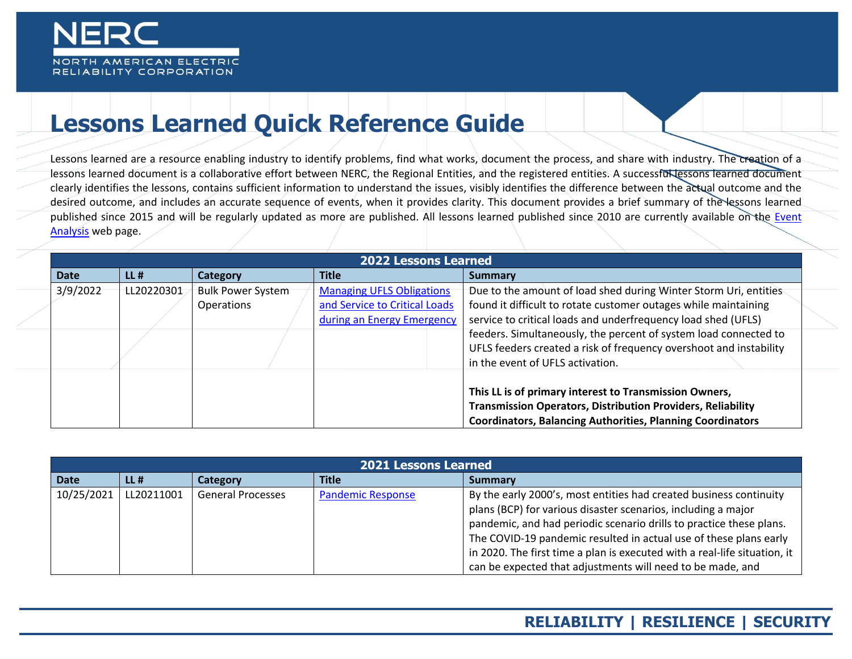

## **Lessons Learned Quick Reference Guide**

Lessons learned are a resource enabling industry to identify problems, find what works, document the process, and share with industry. The creation of a lessons learned document is a collaborative effort between NERC, the Regional Entities, and the registered entities. A successful lessons learned document clearly identifies the lessons, contains sufficient information to understand the issues, visibly identifies the difference between the actual outcome and the desired outcome, and includes an accurate sequence of events, when it provides clarity. This document provides a brief summary of the lessons learned published since 2015 and will be regularly updated as more are published. All lessons learned published since 2010 are currently available on the Event [Analysis](https://www.nerc.com/pa/rrm/ea/Pages/default.aspx) web page.

|             | <b>2022 Lessons Learned</b> |                          |                                  |                                                                    |  |
|-------------|-----------------------------|--------------------------|----------------------------------|--------------------------------------------------------------------|--|
| <b>Date</b> | $LL$ #                      | <b>Category</b>          | <b>Title</b>                     | Summary                                                            |  |
| 3/9/2022    | LL20220301                  | <b>Bulk Power System</b> | <b>Managing UFLS Obligations</b> | Due to the amount of load shed during Winter Storm Uri, entities   |  |
|             |                             | Operations               | and Service to Critical Loads    | found it difficult to rotate customer outages while maintaining    |  |
|             |                             |                          | during an Energy Emergency       | service to critical loads and underfrequency load shed (UFLS)      |  |
|             |                             |                          |                                  | feeders. Simultaneously, the percent of system load connected to   |  |
|             |                             |                          |                                  | UFLS feeders created a risk of frequency overshoot and instability |  |
|             |                             |                          |                                  | in the event of UFLS activation.                                   |  |
|             |                             |                          |                                  |                                                                    |  |
|             |                             |                          |                                  | This LL is of primary interest to Transmission Owners,             |  |
|             |                             |                          |                                  | <b>Transmission Operators, Distribution Providers, Reliability</b> |  |
|             |                             |                          |                                  | <b>Coordinators, Balancing Authorities, Planning Coordinators</b>  |  |

|             | <b>2021 Lessons Learned</b> |                          |                          |                                                                                                                                                                                                                                                                                                                                                                                                                            |  |  |
|-------------|-----------------------------|--------------------------|--------------------------|----------------------------------------------------------------------------------------------------------------------------------------------------------------------------------------------------------------------------------------------------------------------------------------------------------------------------------------------------------------------------------------------------------------------------|--|--|
| <b>Date</b> | $LL$ #                      | Category                 | <b>Title</b>             | <b>Summary</b>                                                                                                                                                                                                                                                                                                                                                                                                             |  |  |
| 10/25/2021  | LL20211001                  | <b>General Processes</b> | <b>Pandemic Response</b> | By the early 2000's, most entities had created business continuity<br>plans (BCP) for various disaster scenarios, including a major<br>pandemic, and had periodic scenario drills to practice these plans.<br>The COVID-19 pandemic resulted in actual use of these plans early<br>in 2020. The first time a plan is executed with a real-life situation, it<br>can be expected that adjustments will need to be made, and |  |  |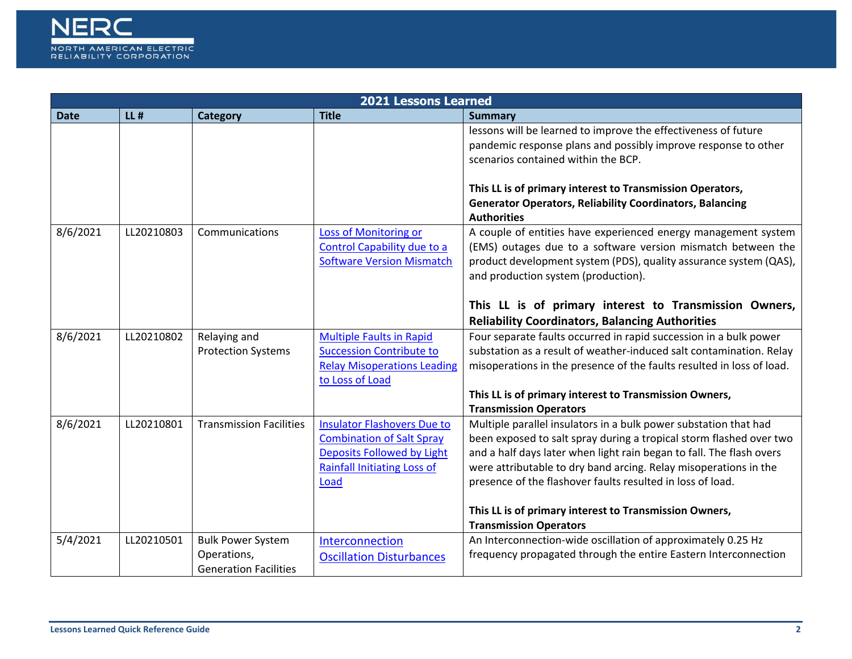

|             | 2021 Lessons Learned |                                                                         |                                                                                                                                                           |                                                                                                                                                                                                                                                                                                                                                   |  |  |
|-------------|----------------------|-------------------------------------------------------------------------|-----------------------------------------------------------------------------------------------------------------------------------------------------------|---------------------------------------------------------------------------------------------------------------------------------------------------------------------------------------------------------------------------------------------------------------------------------------------------------------------------------------------------|--|--|
| <b>Date</b> | $LL$ #               | Category                                                                | <b>Title</b>                                                                                                                                              | <b>Summary</b>                                                                                                                                                                                                                                                                                                                                    |  |  |
|             |                      |                                                                         |                                                                                                                                                           | lessons will be learned to improve the effectiveness of future<br>pandemic response plans and possibly improve response to other<br>scenarios contained within the BCP.                                                                                                                                                                           |  |  |
|             |                      |                                                                         |                                                                                                                                                           | This LL is of primary interest to Transmission Operators,<br><b>Generator Operators, Reliability Coordinators, Balancing</b><br><b>Authorities</b>                                                                                                                                                                                                |  |  |
| 8/6/2021    | LL20210803           | Communications                                                          | <b>Loss of Monitoring or</b><br>Control Capability due to a<br><b>Software Version Mismatch</b>                                                           | A couple of entities have experienced energy management system<br>(EMS) outages due to a software version mismatch between the<br>product development system (PDS), quality assurance system (QAS),<br>and production system (production).                                                                                                        |  |  |
|             |                      |                                                                         |                                                                                                                                                           | This LL is of primary interest to Transmission Owners,<br><b>Reliability Coordinators, Balancing Authorities</b>                                                                                                                                                                                                                                  |  |  |
| 8/6/2021    | LL20210802           | Relaying and<br><b>Protection Systems</b>                               | <b>Multiple Faults in Rapid</b><br><b>Succession Contribute to</b><br><b>Relay Misoperations Leading</b><br>to Loss of Load                               | Four separate faults occurred in rapid succession in a bulk power<br>substation as a result of weather-induced salt contamination. Relay<br>misoperations in the presence of the faults resulted in loss of load.                                                                                                                                 |  |  |
|             |                      |                                                                         |                                                                                                                                                           | This LL is of primary interest to Transmission Owners,<br><b>Transmission Operators</b>                                                                                                                                                                                                                                                           |  |  |
| 8/6/2021    | LL20210801           | <b>Transmission Facilities</b>                                          | <b>Insulator Flashovers Due to</b><br><b>Combination of Salt Spray</b><br><b>Deposits Followed by Light</b><br><b>Rainfall Initiating Loss of</b><br>Load | Multiple parallel insulators in a bulk power substation that had<br>been exposed to salt spray during a tropical storm flashed over two<br>and a half days later when light rain began to fall. The flash overs<br>were attributable to dry band arcing. Relay misoperations in the<br>presence of the flashover faults resulted in loss of load. |  |  |
|             |                      |                                                                         |                                                                                                                                                           | This LL is of primary interest to Transmission Owners,<br><b>Transmission Operators</b>                                                                                                                                                                                                                                                           |  |  |
| 5/4/2021    | LL20210501           | <b>Bulk Power System</b><br>Operations,<br><b>Generation Facilities</b> | Interconnection<br><b>Oscillation Disturbances</b>                                                                                                        | An Interconnection-wide oscillation of approximately 0.25 Hz<br>frequency propagated through the entire Eastern Interconnection                                                                                                                                                                                                                   |  |  |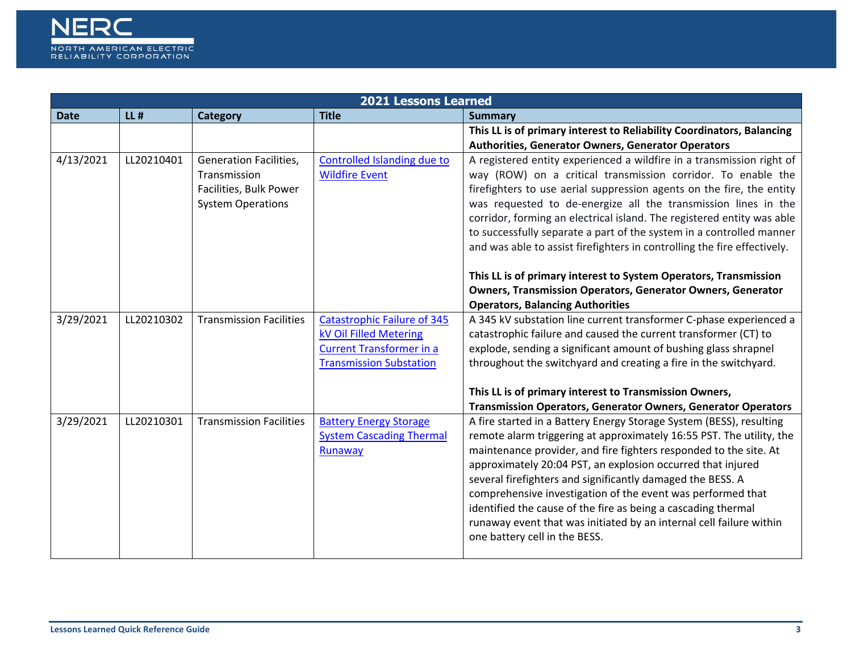

|             | <b>2021 Lessons Learned</b> |                                                                                                     |                                                                                                                                   |                                                                                                                                                                                                                                                                                                                                                                                                                                                                                                                                                                                       |  |  |  |
|-------------|-----------------------------|-----------------------------------------------------------------------------------------------------|-----------------------------------------------------------------------------------------------------------------------------------|---------------------------------------------------------------------------------------------------------------------------------------------------------------------------------------------------------------------------------------------------------------------------------------------------------------------------------------------------------------------------------------------------------------------------------------------------------------------------------------------------------------------------------------------------------------------------------------|--|--|--|
| <b>Date</b> | $LL$ #                      | <b>Category</b>                                                                                     | <b>Title</b>                                                                                                                      | <b>Summary</b>                                                                                                                                                                                                                                                                                                                                                                                                                                                                                                                                                                        |  |  |  |
|             |                             |                                                                                                     |                                                                                                                                   | This LL is of primary interest to Reliability Coordinators, Balancing<br>Authorities, Generator Owners, Generator Operators                                                                                                                                                                                                                                                                                                                                                                                                                                                           |  |  |  |
| 4/13/2021   | LL20210401                  | <b>Generation Facilities,</b><br>Transmission<br>Facilities, Bulk Power<br><b>System Operations</b> | <b>Controlled Islanding due to</b><br><b>Wildfire Event</b>                                                                       | A registered entity experienced a wildfire in a transmission right of<br>way (ROW) on a critical transmission corridor. To enable the<br>firefighters to use aerial suppression agents on the fire, the entity<br>was requested to de-energize all the transmission lines in the<br>corridor, forming an electrical island. The registered entity was able<br>to successfully separate a part of the system in a controlled manner<br>and was able to assist firefighters in controlling the fire effectively.<br>This LL is of primary interest to System Operators, Transmission    |  |  |  |
|             |                             |                                                                                                     |                                                                                                                                   | <b>Owners, Transmission Operators, Generator Owners, Generator</b><br><b>Operators, Balancing Authorities</b>                                                                                                                                                                                                                                                                                                                                                                                                                                                                         |  |  |  |
| 3/29/2021   | LL20210302                  | <b>Transmission Facilities</b>                                                                      | <b>Catastrophic Failure of 345</b><br>kV Oil Filled Metering<br><b>Current Transformer in a</b><br><b>Transmission Substation</b> | A 345 kV substation line current transformer C-phase experienced a<br>catastrophic failure and caused the current transformer (CT) to<br>explode, sending a significant amount of bushing glass shrapnel<br>throughout the switchyard and creating a fire in the switchyard.                                                                                                                                                                                                                                                                                                          |  |  |  |
|             |                             |                                                                                                     |                                                                                                                                   | This LL is of primary interest to Transmission Owners,<br><b>Transmission Operators, Generator Owners, Generator Operators</b>                                                                                                                                                                                                                                                                                                                                                                                                                                                        |  |  |  |
| 3/29/2021   | LL20210301                  | <b>Transmission Facilities</b>                                                                      | <b>Battery Energy Storage</b><br><b>System Cascading Thermal</b><br>Runaway                                                       | A fire started in a Battery Energy Storage System (BESS), resulting<br>remote alarm triggering at approximately 16:55 PST. The utility, the<br>maintenance provider, and fire fighters responded to the site. At<br>approximately 20:04 PST, an explosion occurred that injured<br>several firefighters and significantly damaged the BESS. A<br>comprehensive investigation of the event was performed that<br>identified the cause of the fire as being a cascading thermal<br>runaway event that was initiated by an internal cell failure within<br>one battery cell in the BESS. |  |  |  |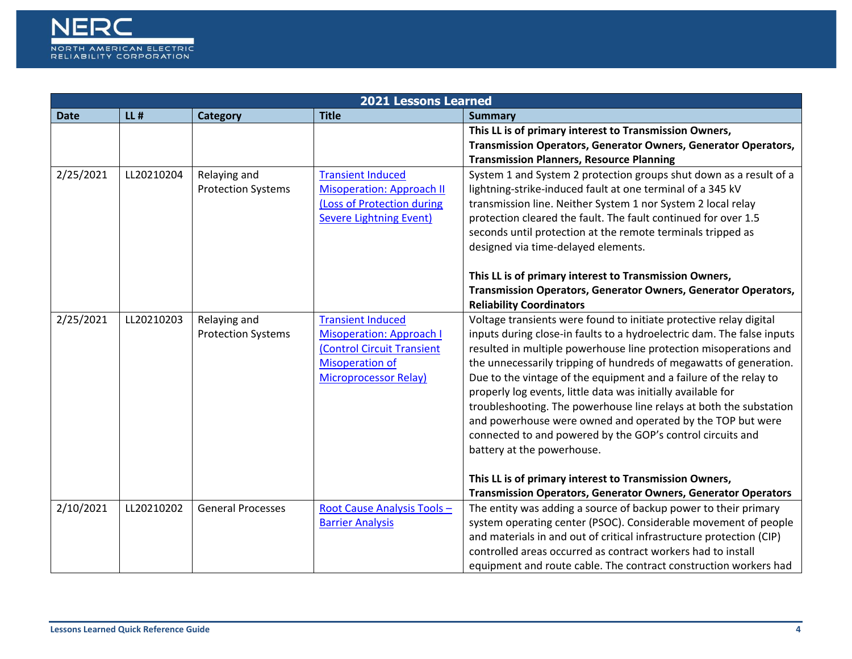

|             | <b>2021 Lessons Learned</b> |                                           |                                                                                                                                                     |                                                                                                                                                                                                                                                                                                                                                                                                                                                                                                                                                                                                                                                                                                                        |  |  |  |
|-------------|-----------------------------|-------------------------------------------|-----------------------------------------------------------------------------------------------------------------------------------------------------|------------------------------------------------------------------------------------------------------------------------------------------------------------------------------------------------------------------------------------------------------------------------------------------------------------------------------------------------------------------------------------------------------------------------------------------------------------------------------------------------------------------------------------------------------------------------------------------------------------------------------------------------------------------------------------------------------------------------|--|--|--|
| <b>Date</b> | $LL$ #                      | <b>Category</b>                           | <b>Title</b>                                                                                                                                        | <b>Summary</b>                                                                                                                                                                                                                                                                                                                                                                                                                                                                                                                                                                                                                                                                                                         |  |  |  |
|             |                             |                                           |                                                                                                                                                     | This LL is of primary interest to Transmission Owners,                                                                                                                                                                                                                                                                                                                                                                                                                                                                                                                                                                                                                                                                 |  |  |  |
|             |                             |                                           |                                                                                                                                                     | Transmission Operators, Generator Owners, Generator Operators,                                                                                                                                                                                                                                                                                                                                                                                                                                                                                                                                                                                                                                                         |  |  |  |
|             |                             |                                           |                                                                                                                                                     | <b>Transmission Planners, Resource Planning</b>                                                                                                                                                                                                                                                                                                                                                                                                                                                                                                                                                                                                                                                                        |  |  |  |
| 2/25/2021   | LL20210204                  | Relaying and<br><b>Protection Systems</b> | <b>Transient Induced</b><br><b>Misoperation: Approach II</b><br>(Loss of Protection during<br><b>Severe Lightning Event)</b>                        | System 1 and System 2 protection groups shut down as a result of a<br>lightning-strike-induced fault at one terminal of a 345 kV<br>transmission line. Neither System 1 nor System 2 local relay<br>protection cleared the fault. The fault continued for over 1.5<br>seconds until protection at the remote terminals tripped as<br>designed via time-delayed elements.<br>This LL is of primary interest to Transmission Owners,<br>Transmission Operators, Generator Owners, Generator Operators,                                                                                                                                                                                                                   |  |  |  |
|             |                             |                                           |                                                                                                                                                     | <b>Reliability Coordinators</b>                                                                                                                                                                                                                                                                                                                                                                                                                                                                                                                                                                                                                                                                                        |  |  |  |
| 2/25/2021   | LL20210203                  | Relaying and<br><b>Protection Systems</b> | <b>Transient Induced</b><br><b>Misoperation: Approach I</b><br>(Control Circuit Transient<br><b>Misoperation of</b><br><b>Microprocessor Relay)</b> | Voltage transients were found to initiate protective relay digital<br>inputs during close-in faults to a hydroelectric dam. The false inputs<br>resulted in multiple powerhouse line protection misoperations and<br>the unnecessarily tripping of hundreds of megawatts of generation.<br>Due to the vintage of the equipment and a failure of the relay to<br>properly log events, little data was initially available for<br>troubleshooting. The powerhouse line relays at both the substation<br>and powerhouse were owned and operated by the TOP but were<br>connected to and powered by the GOP's control circuits and<br>battery at the powerhouse.<br>This LL is of primary interest to Transmission Owners, |  |  |  |
|             |                             |                                           |                                                                                                                                                     | <b>Transmission Operators, Generator Owners, Generator Operators</b>                                                                                                                                                                                                                                                                                                                                                                                                                                                                                                                                                                                                                                                   |  |  |  |
| 2/10/2021   | LL20210202                  | <b>General Processes</b>                  | Root Cause Analysis Tools -<br><b>Barrier Analysis</b>                                                                                              | The entity was adding a source of backup power to their primary<br>system operating center (PSOC). Considerable movement of people<br>and materials in and out of critical infrastructure protection (CIP)<br>controlled areas occurred as contract workers had to install                                                                                                                                                                                                                                                                                                                                                                                                                                             |  |  |  |
|             |                             |                                           |                                                                                                                                                     | equipment and route cable. The contract construction workers had                                                                                                                                                                                                                                                                                                                                                                                                                                                                                                                                                                                                                                                       |  |  |  |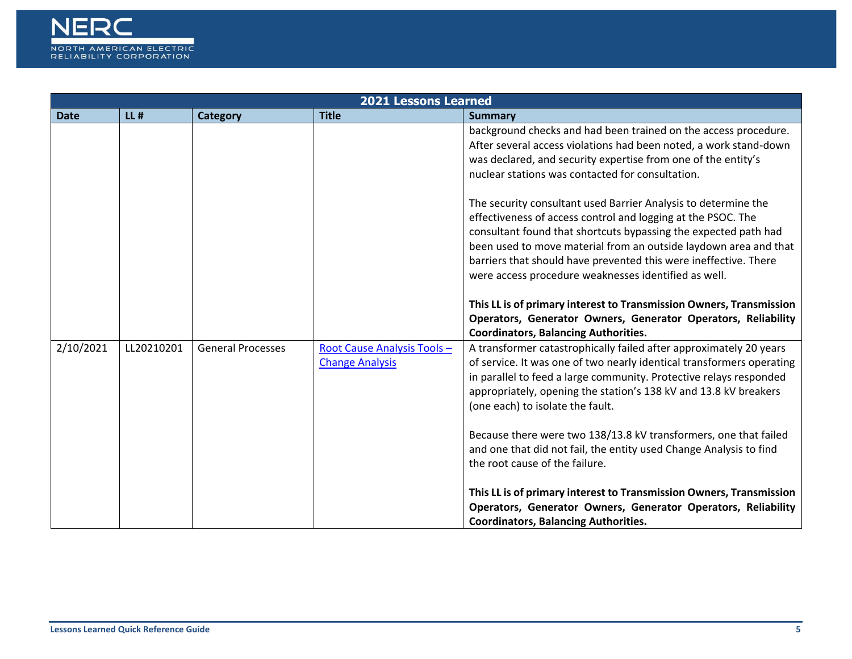

|             | <b>2021 Lessons Learned</b> |                          |                                                       |                                                                                                                                                                                                                                                                                                                                                                                                                                                                          |  |  |
|-------------|-----------------------------|--------------------------|-------------------------------------------------------|--------------------------------------------------------------------------------------------------------------------------------------------------------------------------------------------------------------------------------------------------------------------------------------------------------------------------------------------------------------------------------------------------------------------------------------------------------------------------|--|--|
| <b>Date</b> | $LL$ #                      | <b>Category</b>          | <b>Title</b>                                          | <b>Summary</b>                                                                                                                                                                                                                                                                                                                                                                                                                                                           |  |  |
|             |                             |                          |                                                       | background checks and had been trained on the access procedure.<br>After several access violations had been noted, a work stand-down<br>was declared, and security expertise from one of the entity's<br>nuclear stations was contacted for consultation.                                                                                                                                                                                                                |  |  |
|             |                             |                          |                                                       | The security consultant used Barrier Analysis to determine the<br>effectiveness of access control and logging at the PSOC. The<br>consultant found that shortcuts bypassing the expected path had<br>been used to move material from an outside laydown area and that<br>barriers that should have prevented this were ineffective. There<br>were access procedure weaknesses identified as well.<br>This LL is of primary interest to Transmission Owners, Transmission |  |  |
|             |                             |                          |                                                       | Operators, Generator Owners, Generator Operators, Reliability<br><b>Coordinators, Balancing Authorities.</b>                                                                                                                                                                                                                                                                                                                                                             |  |  |
| 2/10/2021   | LL20210201                  | <b>General Processes</b> | Root Cause Analysis Tools -<br><b>Change Analysis</b> | A transformer catastrophically failed after approximately 20 years<br>of service. It was one of two nearly identical transformers operating<br>in parallel to feed a large community. Protective relays responded<br>appropriately, opening the station's 138 kV and 13.8 kV breakers<br>(one each) to isolate the fault.<br>Because there were two 138/13.8 kV transformers, one that failed<br>and one that did not fail, the entity used Change Analysis to find      |  |  |
|             |                             |                          |                                                       | the root cause of the failure.<br>This LL is of primary interest to Transmission Owners, Transmission<br>Operators, Generator Owners, Generator Operators, Reliability<br><b>Coordinators, Balancing Authorities.</b>                                                                                                                                                                                                                                                    |  |  |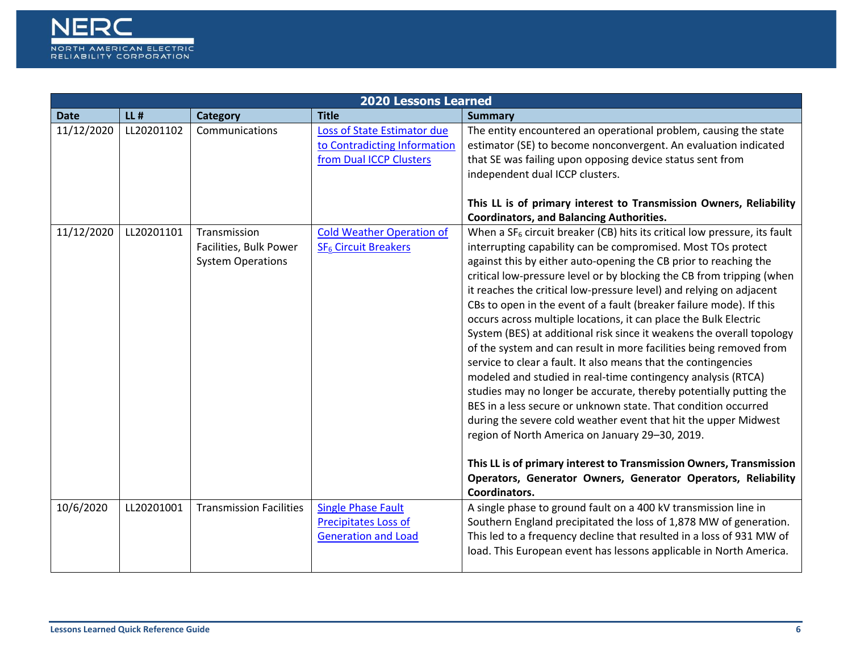

|             | <b>2020 Lessons Learned</b> |                                                                    |                                                                                        |                                                                                                                                                                                                                                                                                                                                                                                                                                                                                                                                                                                                                                                                                                                                                                                                                                                                                                                                                                                                                                                                                                                                                                                                                     |  |  |  |
|-------------|-----------------------------|--------------------------------------------------------------------|----------------------------------------------------------------------------------------|---------------------------------------------------------------------------------------------------------------------------------------------------------------------------------------------------------------------------------------------------------------------------------------------------------------------------------------------------------------------------------------------------------------------------------------------------------------------------------------------------------------------------------------------------------------------------------------------------------------------------------------------------------------------------------------------------------------------------------------------------------------------------------------------------------------------------------------------------------------------------------------------------------------------------------------------------------------------------------------------------------------------------------------------------------------------------------------------------------------------------------------------------------------------------------------------------------------------|--|--|--|
| <b>Date</b> | $LL$ #                      | <b>Category</b>                                                    | <b>Title</b>                                                                           | <b>Summary</b>                                                                                                                                                                                                                                                                                                                                                                                                                                                                                                                                                                                                                                                                                                                                                                                                                                                                                                                                                                                                                                                                                                                                                                                                      |  |  |  |
| 11/12/2020  | LL20201102                  | Communications                                                     | Loss of State Estimator due<br>to Contradicting Information<br>from Dual ICCP Clusters | The entity encountered an operational problem, causing the state<br>estimator (SE) to become nonconvergent. An evaluation indicated<br>that SE was failing upon opposing device status sent from<br>independent dual ICCP clusters.<br>This LL is of primary interest to Transmission Owners, Reliability<br><b>Coordinators, and Balancing Authorities.</b>                                                                                                                                                                                                                                                                                                                                                                                                                                                                                                                                                                                                                                                                                                                                                                                                                                                        |  |  |  |
| 11/12/2020  | LL20201101                  | Transmission<br>Facilities, Bulk Power<br><b>System Operations</b> | <b>Cold Weather Operation of</b><br>SF <sub>6</sub> Circuit Breakers                   | When a $SF_6$ circuit breaker (CB) hits its critical low pressure, its fault<br>interrupting capability can be compromised. Most TOs protect<br>against this by either auto-opening the CB prior to reaching the<br>critical low-pressure level or by blocking the CB from tripping (when<br>it reaches the critical low-pressure level) and relying on adjacent<br>CBs to open in the event of a fault (breaker failure mode). If this<br>occurs across multiple locations, it can place the Bulk Electric<br>System (BES) at additional risk since it weakens the overall topology<br>of the system and can result in more facilities being removed from<br>service to clear a fault. It also means that the contingencies<br>modeled and studied in real-time contingency analysis (RTCA)<br>studies may no longer be accurate, thereby potentially putting the<br>BES in a less secure or unknown state. That condition occurred<br>during the severe cold weather event that hit the upper Midwest<br>region of North America on January 29-30, 2019.<br>This LL is of primary interest to Transmission Owners, Transmission<br>Operators, Generator Owners, Generator Operators, Reliability<br>Coordinators. |  |  |  |
| 10/6/2020   | LL20201001                  | <b>Transmission Facilities</b>                                     | <b>Single Phase Fault</b><br><b>Precipitates Loss of</b><br><b>Generation and Load</b> | A single phase to ground fault on a 400 kV transmission line in<br>Southern England precipitated the loss of 1,878 MW of generation.<br>This led to a frequency decline that resulted in a loss of 931 MW of<br>load. This European event has lessons applicable in North America.                                                                                                                                                                                                                                                                                                                                                                                                                                                                                                                                                                                                                                                                                                                                                                                                                                                                                                                                  |  |  |  |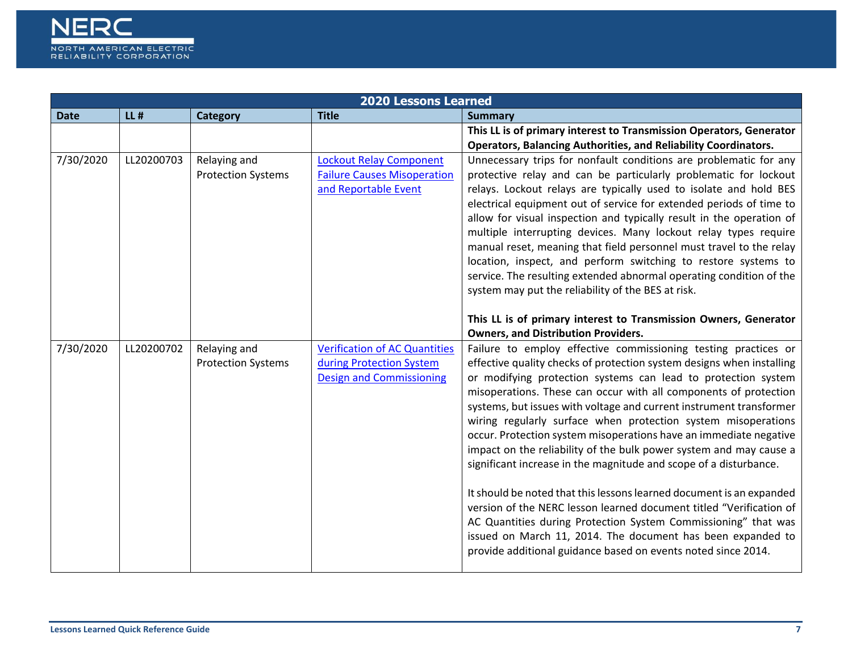

|             |            |                           | <b>2020 Lessons Learned</b>                                 |                                                                                                                                             |
|-------------|------------|---------------------------|-------------------------------------------------------------|---------------------------------------------------------------------------------------------------------------------------------------------|
| <b>Date</b> | $LL$ #     | Category                  | <b>Title</b>                                                | <b>Summary</b>                                                                                                                              |
|             |            |                           |                                                             | This LL is of primary interest to Transmission Operators, Generator                                                                         |
|             |            |                           |                                                             | <b>Operators, Balancing Authorities, and Reliability Coordinators.</b>                                                                      |
| 7/30/2020   | LL20200703 | Relaying and              | <b>Lockout Relay Component</b>                              | Unnecessary trips for nonfault conditions are problematic for any                                                                           |
|             |            | <b>Protection Systems</b> | <b>Failure Causes Misoperation</b>                          | protective relay and can be particularly problematic for lockout                                                                            |
|             |            |                           | and Reportable Event                                        | relays. Lockout relays are typically used to isolate and hold BES                                                                           |
|             |            |                           |                                                             | electrical equipment out of service for extended periods of time to<br>allow for visual inspection and typically result in the operation of |
|             |            |                           |                                                             | multiple interrupting devices. Many lockout relay types require                                                                             |
|             |            |                           |                                                             | manual reset, meaning that field personnel must travel to the relay                                                                         |
|             |            |                           |                                                             | location, inspect, and perform switching to restore systems to                                                                              |
|             |            |                           |                                                             | service. The resulting extended abnormal operating condition of the                                                                         |
|             |            |                           |                                                             | system may put the reliability of the BES at risk.                                                                                          |
|             |            |                           |                                                             |                                                                                                                                             |
|             |            |                           |                                                             | This LL is of primary interest to Transmission Owners, Generator                                                                            |
|             |            |                           |                                                             | <b>Owners, and Distribution Providers.</b>                                                                                                  |
| 7/30/2020   | LL20200702 | Relaying and              | <b>Verification of AC Quantities</b>                        | Failure to employ effective commissioning testing practices or                                                                              |
|             |            | <b>Protection Systems</b> | during Protection System<br><b>Design and Commissioning</b> | effective quality checks of protection system designs when installing<br>or modifying protection systems can lead to protection system      |
|             |            |                           |                                                             | misoperations. These can occur with all components of protection                                                                            |
|             |            |                           |                                                             | systems, but issues with voltage and current instrument transformer                                                                         |
|             |            |                           |                                                             | wiring regularly surface when protection system misoperations                                                                               |
|             |            |                           |                                                             | occur. Protection system misoperations have an immediate negative                                                                           |
|             |            |                           |                                                             | impact on the reliability of the bulk power system and may cause a                                                                          |
|             |            |                           |                                                             | significant increase in the magnitude and scope of a disturbance.                                                                           |
|             |            |                           |                                                             |                                                                                                                                             |
|             |            |                           |                                                             | It should be noted that this lessons learned document is an expanded<br>version of the NERC lesson learned document titled "Verification of |
|             |            |                           |                                                             | AC Quantities during Protection System Commissioning" that was                                                                              |
|             |            |                           |                                                             | issued on March 11, 2014. The document has been expanded to                                                                                 |
|             |            |                           |                                                             | provide additional guidance based on events noted since 2014.                                                                               |
|             |            |                           |                                                             |                                                                                                                                             |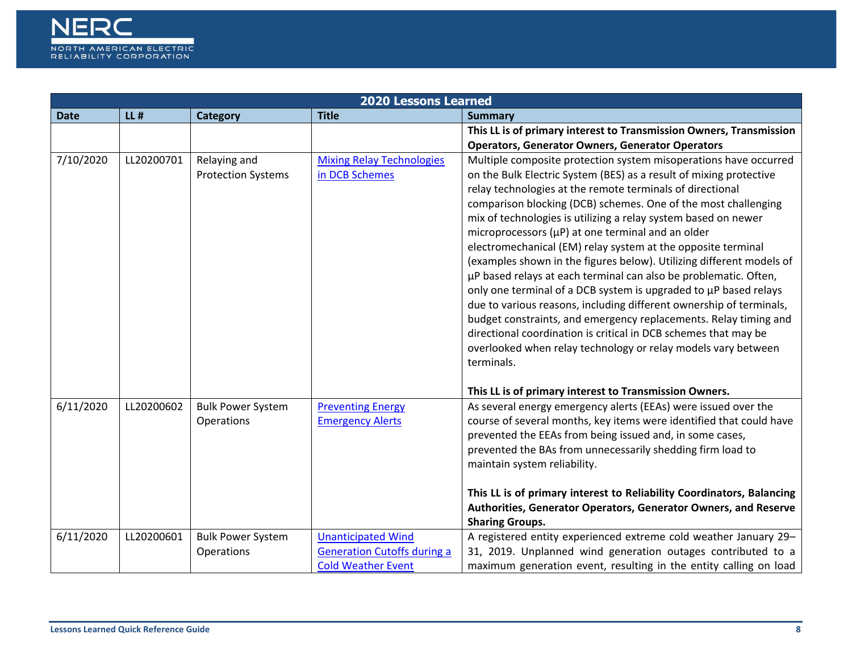

|             | <b>2020 Lessons Learned</b> |                                           |                                                                                              |                                                                                                                                                                                                                                                                                                                                                                                                                                                                                                                                                                                                                                                                                                                                                                                                                                                                                                                                                                                |  |  |  |
|-------------|-----------------------------|-------------------------------------------|----------------------------------------------------------------------------------------------|--------------------------------------------------------------------------------------------------------------------------------------------------------------------------------------------------------------------------------------------------------------------------------------------------------------------------------------------------------------------------------------------------------------------------------------------------------------------------------------------------------------------------------------------------------------------------------------------------------------------------------------------------------------------------------------------------------------------------------------------------------------------------------------------------------------------------------------------------------------------------------------------------------------------------------------------------------------------------------|--|--|--|
| <b>Date</b> | $LL$ #                      | <b>Category</b>                           | <b>Title</b>                                                                                 | <b>Summary</b>                                                                                                                                                                                                                                                                                                                                                                                                                                                                                                                                                                                                                                                                                                                                                                                                                                                                                                                                                                 |  |  |  |
|             |                             |                                           |                                                                                              | This LL is of primary interest to Transmission Owners, Transmission                                                                                                                                                                                                                                                                                                                                                                                                                                                                                                                                                                                                                                                                                                                                                                                                                                                                                                            |  |  |  |
|             |                             |                                           |                                                                                              | <b>Operators, Generator Owners, Generator Operators</b>                                                                                                                                                                                                                                                                                                                                                                                                                                                                                                                                                                                                                                                                                                                                                                                                                                                                                                                        |  |  |  |
| 7/10/2020   | LL20200701                  | Relaying and<br><b>Protection Systems</b> | <b>Mixing Relay Technologies</b><br>in DCB Schemes                                           | Multiple composite protection system misoperations have occurred<br>on the Bulk Electric System (BES) as a result of mixing protective<br>relay technologies at the remote terminals of directional<br>comparison blocking (DCB) schemes. One of the most challenging<br>mix of technologies is utilizing a relay system based on newer<br>microprocessors $(\mu P)$ at one terminal and an older<br>electromechanical (EM) relay system at the opposite terminal<br>(examples shown in the figures below). Utilizing different models of<br>µP based relays at each terminal can also be problematic. Often,<br>only one terminal of a DCB system is upgraded to µP based relays<br>due to various reasons, including different ownership of terminals,<br>budget constraints, and emergency replacements. Relay timing and<br>directional coordination is critical in DCB schemes that may be<br>overlooked when relay technology or relay models vary between<br>terminals. |  |  |  |
|             |                             |                                           |                                                                                              | This LL is of primary interest to Transmission Owners.                                                                                                                                                                                                                                                                                                                                                                                                                                                                                                                                                                                                                                                                                                                                                                                                                                                                                                                         |  |  |  |
| 6/11/2020   | LL20200602                  | <b>Bulk Power System</b><br>Operations    | <b>Preventing Energy</b><br><b>Emergency Alerts</b>                                          | As several energy emergency alerts (EEAs) were issued over the<br>course of several months, key items were identified that could have<br>prevented the EEAs from being issued and, in some cases,<br>prevented the BAs from unnecessarily shedding firm load to<br>maintain system reliability.                                                                                                                                                                                                                                                                                                                                                                                                                                                                                                                                                                                                                                                                                |  |  |  |
|             |                             |                                           |                                                                                              | This LL is of primary interest to Reliability Coordinators, Balancing<br>Authorities, Generator Operators, Generator Owners, and Reserve                                                                                                                                                                                                                                                                                                                                                                                                                                                                                                                                                                                                                                                                                                                                                                                                                                       |  |  |  |
|             |                             |                                           |                                                                                              | <b>Sharing Groups.</b>                                                                                                                                                                                                                                                                                                                                                                                                                                                                                                                                                                                                                                                                                                                                                                                                                                                                                                                                                         |  |  |  |
| 6/11/2020   | LL20200601                  | <b>Bulk Power System</b><br>Operations    | <b>Unanticipated Wind</b><br><b>Generation Cutoffs during a</b><br><b>Cold Weather Event</b> | A registered entity experienced extreme cold weather January 29-<br>31, 2019. Unplanned wind generation outages contributed to a<br>maximum generation event, resulting in the entity calling on load                                                                                                                                                                                                                                                                                                                                                                                                                                                                                                                                                                                                                                                                                                                                                                          |  |  |  |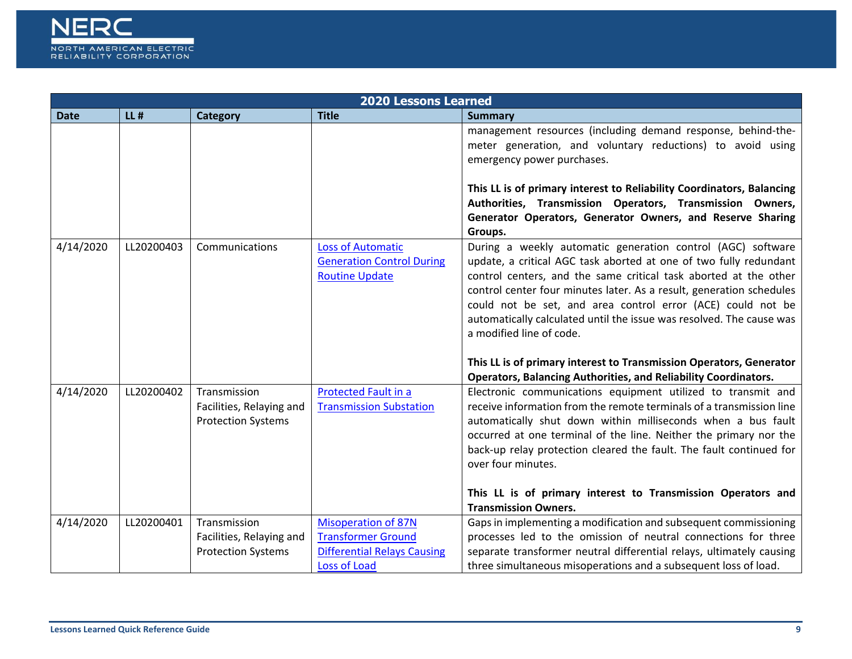

|             | <b>2020 Lessons Learned</b> |                                                                       |                                                                                       |                                                                                                                                                                                                                                                                                                                                                                                                                                                            |  |  |
|-------------|-----------------------------|-----------------------------------------------------------------------|---------------------------------------------------------------------------------------|------------------------------------------------------------------------------------------------------------------------------------------------------------------------------------------------------------------------------------------------------------------------------------------------------------------------------------------------------------------------------------------------------------------------------------------------------------|--|--|
| <b>Date</b> | $LL$ #                      | <b>Category</b>                                                       | <b>Title</b>                                                                          | <b>Summary</b>                                                                                                                                                                                                                                                                                                                                                                                                                                             |  |  |
|             |                             |                                                                       |                                                                                       | management resources (including demand response, behind-the-<br>meter generation, and voluntary reductions) to avoid using<br>emergency power purchases.<br>This LL is of primary interest to Reliability Coordinators, Balancing<br>Authorities, Transmission Operators, Transmission Owners,<br>Generator Operators, Generator Owners, and Reserve Sharing                                                                                               |  |  |
| 4/14/2020   | LL20200403                  | Communications                                                        | <b>Loss of Automatic</b><br><b>Generation Control During</b><br><b>Routine Update</b> | Groups.<br>During a weekly automatic generation control (AGC) software<br>update, a critical AGC task aborted at one of two fully redundant<br>control centers, and the same critical task aborted at the other<br>control center four minutes later. As a result, generation schedules<br>could not be set, and area control error (ACE) could not be<br>automatically calculated until the issue was resolved. The cause was<br>a modified line of code. |  |  |
|             |                             |                                                                       |                                                                                       | This LL is of primary interest to Transmission Operators, Generator<br><b>Operators, Balancing Authorities, and Reliability Coordinators.</b>                                                                                                                                                                                                                                                                                                              |  |  |
| 4/14/2020   | LL20200402                  | Transmission<br>Facilities, Relaying and<br><b>Protection Systems</b> | Protected Fault in a<br><b>Transmission Substation</b>                                | Electronic communications equipment utilized to transmit and<br>receive information from the remote terminals of a transmission line<br>automatically shut down within milliseconds when a bus fault<br>occurred at one terminal of the line. Neither the primary nor the<br>back-up relay protection cleared the fault. The fault continued for<br>over four minutes.                                                                                     |  |  |
|             |                             |                                                                       |                                                                                       | This LL is of primary interest to Transmission Operators and                                                                                                                                                                                                                                                                                                                                                                                               |  |  |
|             |                             |                                                                       |                                                                                       | <b>Transmission Owners.</b>                                                                                                                                                                                                                                                                                                                                                                                                                                |  |  |
| 4/14/2020   | LL20200401                  | Transmission                                                          | <b>Misoperation of 87N</b>                                                            | Gaps in implementing a modification and subsequent commissioning                                                                                                                                                                                                                                                                                                                                                                                           |  |  |
|             |                             | Facilities, Relaying and                                              | <b>Transformer Ground</b>                                                             | processes led to the omission of neutral connections for three                                                                                                                                                                                                                                                                                                                                                                                             |  |  |
|             |                             | <b>Protection Systems</b>                                             | <b>Differential Relays Causing</b>                                                    | separate transformer neutral differential relays, ultimately causing                                                                                                                                                                                                                                                                                                                                                                                       |  |  |
|             |                             |                                                                       | Loss of Load                                                                          | three simultaneous misoperations and a subsequent loss of load.                                                                                                                                                                                                                                                                                                                                                                                            |  |  |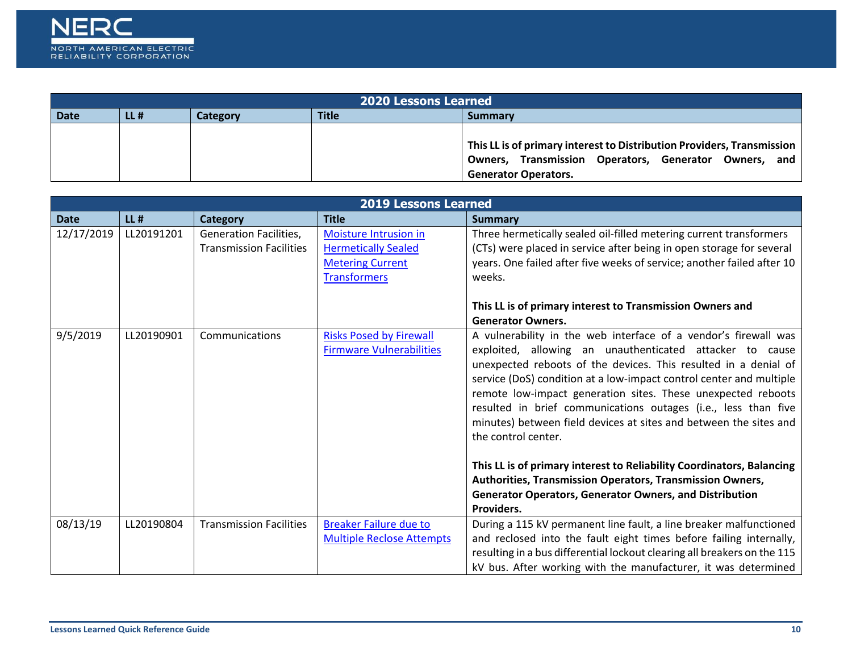

|             | <b>2020 Lessons Learned</b> |          |              |                                                                                                                                                                |  |  |
|-------------|-----------------------------|----------|--------------|----------------------------------------------------------------------------------------------------------------------------------------------------------------|--|--|
| <b>Date</b> | $LL$ #                      | Category | <b>Title</b> | <b>Summary</b>                                                                                                                                                 |  |  |
|             |                             |          |              | This LL is of primary interest to Distribution Providers, Transmission<br>Owners, Transmission Operators, Generator Owners, and<br><b>Generator Operators.</b> |  |  |

|             |            |                                                                 | <b>2019 Lessons Learned</b>                                                                           |                                                                                                                                                                                                                                                                                                                                                                                                                                                                                                                                                                                                                                                                                                                           |
|-------------|------------|-----------------------------------------------------------------|-------------------------------------------------------------------------------------------------------|---------------------------------------------------------------------------------------------------------------------------------------------------------------------------------------------------------------------------------------------------------------------------------------------------------------------------------------------------------------------------------------------------------------------------------------------------------------------------------------------------------------------------------------------------------------------------------------------------------------------------------------------------------------------------------------------------------------------------|
| <b>Date</b> | $LL$ #     | <b>Category</b>                                                 | <b>Title</b>                                                                                          | Summary                                                                                                                                                                                                                                                                                                                                                                                                                                                                                                                                                                                                                                                                                                                   |
| 12/17/2019  | LL20191201 | <b>Generation Facilities,</b><br><b>Transmission Facilities</b> | Moisture Intrusion in<br><b>Hermetically Sealed</b><br><b>Metering Current</b><br><b>Transformers</b> | Three hermetically sealed oil-filled metering current transformers<br>(CTs) were placed in service after being in open storage for several<br>years. One failed after five weeks of service; another failed after 10<br>weeks.<br>This LL is of primary interest to Transmission Owners and<br><b>Generator Owners.</b>                                                                                                                                                                                                                                                                                                                                                                                                   |
| 9/5/2019    | LL20190901 | Communications                                                  | <b>Risks Posed by Firewall</b><br><b>Firmware Vulnerabilities</b>                                     | A vulnerability in the web interface of a vendor's firewall was<br>exploited, allowing an unauthenticated attacker to cause<br>unexpected reboots of the devices. This resulted in a denial of<br>service (DoS) condition at a low-impact control center and multiple<br>remote low-impact generation sites. These unexpected reboots<br>resulted in brief communications outages (i.e., less than five<br>minutes) between field devices at sites and between the sites and<br>the control center.<br>This LL is of primary interest to Reliability Coordinators, Balancing<br>Authorities, Transmission Operators, Transmission Owners,<br><b>Generator Operators, Generator Owners, and Distribution</b><br>Providers. |
| 08/13/19    | LL20190804 | <b>Transmission Facilities</b>                                  | <b>Breaker Failure due to</b><br><b>Multiple Reclose Attempts</b>                                     | During a 115 kV permanent line fault, a line breaker malfunctioned<br>and reclosed into the fault eight times before failing internally,<br>resulting in a bus differential lockout clearing all breakers on the 115<br>kV bus. After working with the manufacturer, it was determined                                                                                                                                                                                                                                                                                                                                                                                                                                    |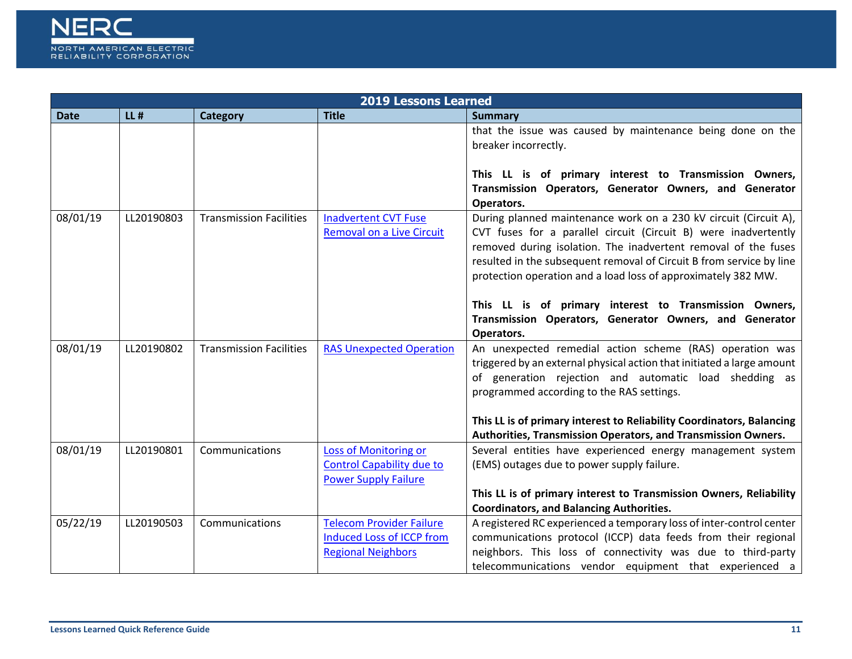

|             |            |                                | <b>2019 Lessons Learned</b>      |                                                                        |
|-------------|------------|--------------------------------|----------------------------------|------------------------------------------------------------------------|
| <b>Date</b> | $LL$ #     | <b>Category</b>                | <b>Title</b>                     | <b>Summary</b>                                                         |
|             |            |                                |                                  | that the issue was caused by maintenance being done on the             |
|             |            |                                |                                  | breaker incorrectly.                                                   |
|             |            |                                |                                  |                                                                        |
|             |            |                                |                                  | This LL is of primary interest to Transmission Owners,                 |
|             |            |                                |                                  | Transmission Operators, Generator Owners, and Generator                |
|             |            |                                |                                  | Operators.                                                             |
| 08/01/19    | LL20190803 | <b>Transmission Facilities</b> | <b>Inadvertent CVT Fuse</b>      | During planned maintenance work on a 230 kV circuit (Circuit A),       |
|             |            |                                | <b>Removal on a Live Circuit</b> | CVT fuses for a parallel circuit (Circuit B) were inadvertently        |
|             |            |                                |                                  | removed during isolation. The inadvertent removal of the fuses         |
|             |            |                                |                                  | resulted in the subsequent removal of Circuit B from service by line   |
|             |            |                                |                                  | protection operation and a load loss of approximately 382 MW.          |
|             |            |                                |                                  |                                                                        |
|             |            |                                |                                  | This LL is of primary interest to Transmission Owners,                 |
|             |            |                                |                                  | Transmission Operators, Generator Owners, and Generator                |
|             |            |                                |                                  | Operators.                                                             |
| 08/01/19    | LL20190802 | <b>Transmission Facilities</b> | <b>RAS Unexpected Operation</b>  | An unexpected remedial action scheme (RAS) operation was               |
|             |            |                                |                                  | triggered by an external physical action that initiated a large amount |
|             |            |                                |                                  | of generation rejection and automatic load shedding as                 |
|             |            |                                |                                  | programmed according to the RAS settings.                              |
|             |            |                                |                                  |                                                                        |
|             |            |                                |                                  | This LL is of primary interest to Reliability Coordinators, Balancing  |
|             |            |                                |                                  | Authorities, Transmission Operators, and Transmission Owners.          |
| 08/01/19    | LL20190801 | Communications                 | Loss of Monitoring or            | Several entities have experienced energy management system             |
|             |            |                                | <b>Control Capability due to</b> | (EMS) outages due to power supply failure.                             |
|             |            |                                | <b>Power Supply Failure</b>      |                                                                        |
|             |            |                                |                                  | This LL is of primary interest to Transmission Owners, Reliability     |
|             |            |                                |                                  | <b>Coordinators, and Balancing Authorities.</b>                        |
| 05/22/19    | LL20190503 | Communications                 | <b>Telecom Provider Failure</b>  | A registered RC experienced a temporary loss of inter-control center   |
|             |            |                                | <b>Induced Loss of ICCP from</b> | communications protocol (ICCP) data feeds from their regional          |
|             |            |                                | <b>Regional Neighbors</b>        | neighbors. This loss of connectivity was due to third-party            |
|             |            |                                |                                  | telecommunications vendor equipment that experienced a                 |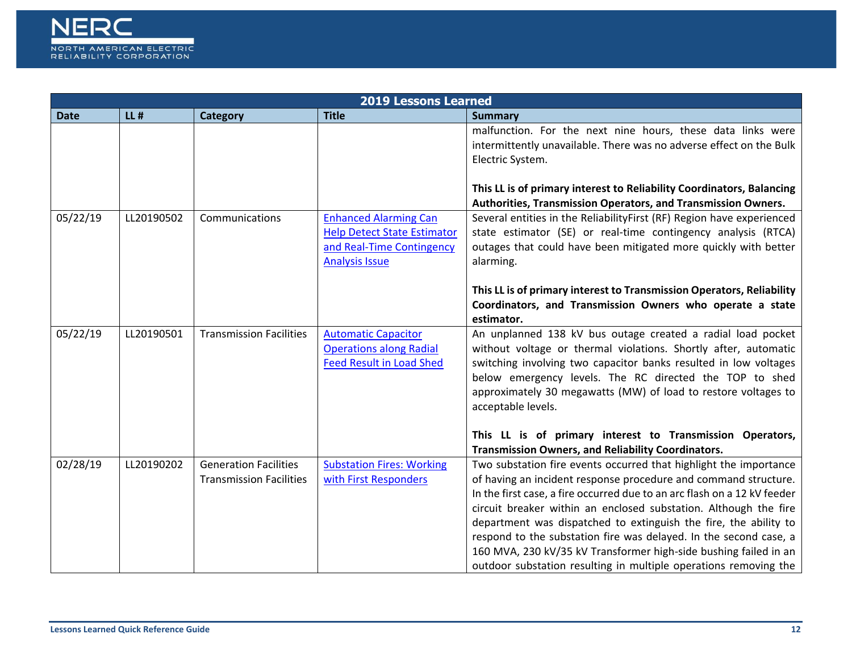

|             |            | <b>2019 Lessons Learned</b>                                    |                                                                                                                          |                                                                                                                                                                                                                                                                                                                                                                                                                                                                                                                                                                       |
|-------------|------------|----------------------------------------------------------------|--------------------------------------------------------------------------------------------------------------------------|-----------------------------------------------------------------------------------------------------------------------------------------------------------------------------------------------------------------------------------------------------------------------------------------------------------------------------------------------------------------------------------------------------------------------------------------------------------------------------------------------------------------------------------------------------------------------|
| <b>Date</b> | $LL$ #     | <b>Category</b>                                                | <b>Title</b>                                                                                                             | <b>Summary</b>                                                                                                                                                                                                                                                                                                                                                                                                                                                                                                                                                        |
|             |            |                                                                |                                                                                                                          | malfunction. For the next nine hours, these data links were<br>intermittently unavailable. There was no adverse effect on the Bulk<br>Electric System.                                                                                                                                                                                                                                                                                                                                                                                                                |
|             |            |                                                                |                                                                                                                          | This LL is of primary interest to Reliability Coordinators, Balancing<br>Authorities, Transmission Operators, and Transmission Owners.                                                                                                                                                                                                                                                                                                                                                                                                                                |
| 05/22/19    | LL20190502 | Communications                                                 | <b>Enhanced Alarming Can</b><br><b>Help Detect State Estimator</b><br>and Real-Time Contingency<br><b>Analysis Issue</b> | Several entities in the ReliabilityFirst (RF) Region have experienced<br>state estimator (SE) or real-time contingency analysis (RTCA)<br>outages that could have been mitigated more quickly with better<br>alarming.                                                                                                                                                                                                                                                                                                                                                |
|             |            |                                                                |                                                                                                                          | This LL is of primary interest to Transmission Operators, Reliability<br>Coordinators, and Transmission Owners who operate a state<br>estimator.                                                                                                                                                                                                                                                                                                                                                                                                                      |
| 05/22/19    | LL20190501 | <b>Transmission Facilities</b>                                 | <b>Automatic Capacitor</b><br><b>Operations along Radial</b><br><b>Feed Result in Load Shed</b>                          | An unplanned 138 kV bus outage created a radial load pocket<br>without voltage or thermal violations. Shortly after, automatic<br>switching involving two capacitor banks resulted in low voltages<br>below emergency levels. The RC directed the TOP to shed<br>approximately 30 megawatts (MW) of load to restore voltages to<br>acceptable levels.                                                                                                                                                                                                                 |
|             |            |                                                                |                                                                                                                          | This LL is of primary interest to Transmission Operators,<br>Transmission Owners, and Reliability Coordinators.                                                                                                                                                                                                                                                                                                                                                                                                                                                       |
| 02/28/19    | LL20190202 | <b>Generation Facilities</b><br><b>Transmission Facilities</b> | <b>Substation Fires: Working</b><br>with First Responders                                                                | Two substation fire events occurred that highlight the importance<br>of having an incident response procedure and command structure.<br>In the first case, a fire occurred due to an arc flash on a 12 kV feeder<br>circuit breaker within an enclosed substation. Although the fire<br>department was dispatched to extinguish the fire, the ability to<br>respond to the substation fire was delayed. In the second case, a<br>160 MVA, 230 kV/35 kV Transformer high-side bushing failed in an<br>outdoor substation resulting in multiple operations removing the |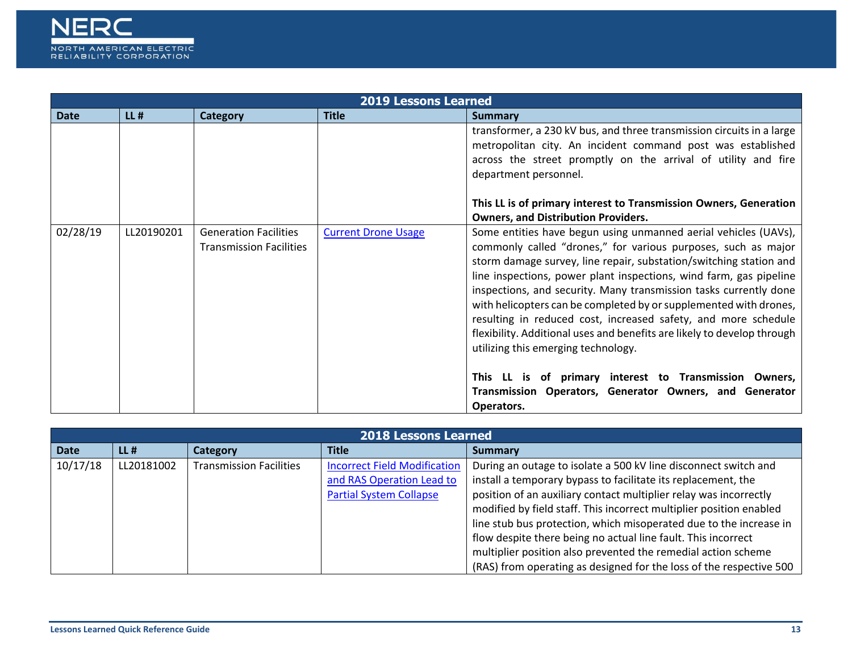

|             | <b>2019 Lessons Learned</b> |                                                                |                            |                                                                                                                                                                                                                                                                                                                                                                                                                                                                                                                                                                                                            |  |
|-------------|-----------------------------|----------------------------------------------------------------|----------------------------|------------------------------------------------------------------------------------------------------------------------------------------------------------------------------------------------------------------------------------------------------------------------------------------------------------------------------------------------------------------------------------------------------------------------------------------------------------------------------------------------------------------------------------------------------------------------------------------------------------|--|
| <b>Date</b> | $LL$ #                      | Category                                                       | <b>Title</b>               | <b>Summary</b>                                                                                                                                                                                                                                                                                                                                                                                                                                                                                                                                                                                             |  |
|             |                             |                                                                |                            | transformer, a 230 kV bus, and three transmission circuits in a large<br>metropolitan city. An incident command post was established<br>across the street promptly on the arrival of utility and fire<br>department personnel.                                                                                                                                                                                                                                                                                                                                                                             |  |
|             |                             |                                                                |                            | This LL is of primary interest to Transmission Owners, Generation                                                                                                                                                                                                                                                                                                                                                                                                                                                                                                                                          |  |
|             |                             |                                                                |                            | <b>Owners, and Distribution Providers.</b>                                                                                                                                                                                                                                                                                                                                                                                                                                                                                                                                                                 |  |
| 02/28/19    | LL20190201                  | <b>Generation Facilities</b><br><b>Transmission Facilities</b> | <b>Current Drone Usage</b> | Some entities have begun using unmanned aerial vehicles (UAVs),<br>commonly called "drones," for various purposes, such as major<br>storm damage survey, line repair, substation/switching station and<br>line inspections, power plant inspections, wind farm, gas pipeline<br>inspections, and security. Many transmission tasks currently done<br>with helicopters can be completed by or supplemented with drones,<br>resulting in reduced cost, increased safety, and more schedule<br>flexibility. Additional uses and benefits are likely to develop through<br>utilizing this emerging technology. |  |
|             |                             |                                                                |                            | This LL is of primary interest to Transmission Owners,<br>Transmission Operators, Generator Owners, and Generator<br>Operators.                                                                                                                                                                                                                                                                                                                                                                                                                                                                            |  |

|             | <b>2018 Lessons Learned</b> |                                |                                     |                                                                     |  |  |
|-------------|-----------------------------|--------------------------------|-------------------------------------|---------------------------------------------------------------------|--|--|
| <b>Date</b> | $LL$ #                      | Category                       | Title                               | Summary                                                             |  |  |
| 10/17/18    | LL20181002                  | <b>Transmission Facilities</b> | <b>Incorrect Field Modification</b> | During an outage to isolate a 500 kV line disconnect switch and     |  |  |
|             |                             |                                | and RAS Operation Lead to           | install a temporary bypass to facilitate its replacement, the       |  |  |
|             |                             |                                | <b>Partial System Collapse</b>      | position of an auxiliary contact multiplier relay was incorrectly   |  |  |
|             |                             |                                |                                     | modified by field staff. This incorrect multiplier position enabled |  |  |
|             |                             |                                |                                     | line stub bus protection, which misoperated due to the increase in  |  |  |
|             |                             |                                |                                     | flow despite there being no actual line fault. This incorrect       |  |  |
|             |                             |                                |                                     | multiplier position also prevented the remedial action scheme       |  |  |
|             |                             |                                |                                     | (RAS) from operating as designed for the loss of the respective 500 |  |  |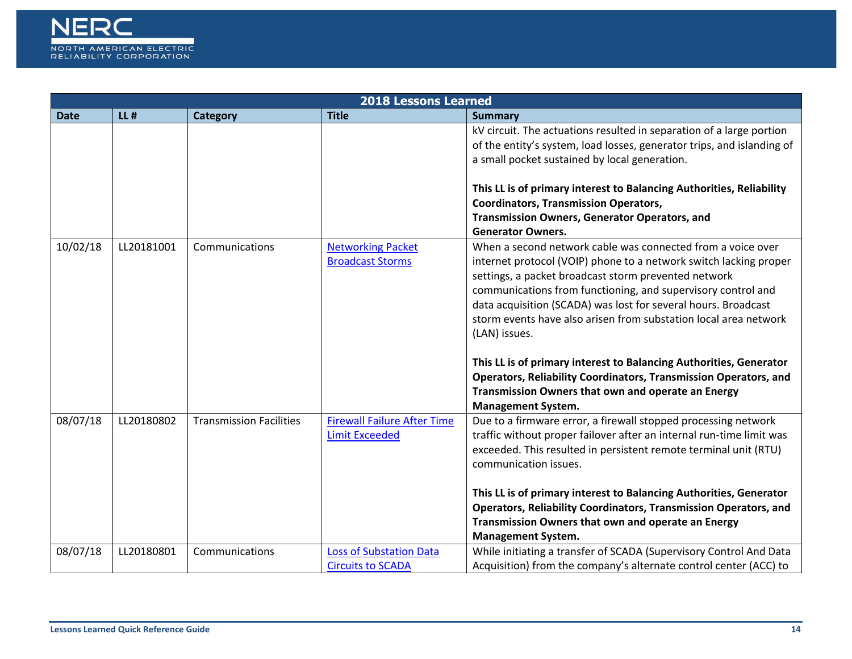

|             |            |                                | <b>2018 Lessons Learned</b>                                 |                                                                                                                                                                                                                                                                                                                                                                                                                                                                                                                                                                                                                                              |
|-------------|------------|--------------------------------|-------------------------------------------------------------|----------------------------------------------------------------------------------------------------------------------------------------------------------------------------------------------------------------------------------------------------------------------------------------------------------------------------------------------------------------------------------------------------------------------------------------------------------------------------------------------------------------------------------------------------------------------------------------------------------------------------------------------|
| <b>Date</b> | $LL$ #     | <b>Category</b>                | <b>Title</b>                                                | <b>Summary</b>                                                                                                                                                                                                                                                                                                                                                                                                                                                                                                                                                                                                                               |
|             |            |                                |                                                             | kV circuit. The actuations resulted in separation of a large portion<br>of the entity's system, load losses, generator trips, and islanding of<br>a small pocket sustained by local generation.                                                                                                                                                                                                                                                                                                                                                                                                                                              |
|             |            |                                |                                                             | This LL is of primary interest to Balancing Authorities, Reliability<br><b>Coordinators, Transmission Operators,</b><br><b>Transmission Owners, Generator Operators, and</b><br><b>Generator Owners.</b>                                                                                                                                                                                                                                                                                                                                                                                                                                     |
| 10/02/18    | LL20181001 | Communications                 | <b>Networking Packet</b><br><b>Broadcast Storms</b>         | When a second network cable was connected from a voice over<br>internet protocol (VOIP) phone to a network switch lacking proper<br>settings, a packet broadcast storm prevented network<br>communications from functioning, and supervisory control and<br>data acquisition (SCADA) was lost for several hours. Broadcast<br>storm events have also arisen from substation local area network<br>(LAN) issues.<br>This LL is of primary interest to Balancing Authorities, Generator<br><b>Operators, Reliability Coordinators, Transmission Operators, and</b><br>Transmission Owners that own and operate an Energy<br>Management System. |
| 08/07/18    | LL20180802 | <b>Transmission Facilities</b> | <b>Firewall Failure After Time</b><br><b>Limit Exceeded</b> | Due to a firmware error, a firewall stopped processing network<br>traffic without proper failover after an internal run-time limit was<br>exceeded. This resulted in persistent remote terminal unit (RTU)<br>communication issues.<br>This LL is of primary interest to Balancing Authorities, Generator<br><b>Operators, Reliability Coordinators, Transmission Operators, and</b><br>Transmission Owners that own and operate an Energy<br><b>Management System.</b>                                                                                                                                                                      |
| 08/07/18    | LL20180801 | Communications                 | <b>Loss of Substation Data</b><br><b>Circuits to SCADA</b>  | While initiating a transfer of SCADA (Supervisory Control And Data<br>Acquisition) from the company's alternate control center (ACC) to                                                                                                                                                                                                                                                                                                                                                                                                                                                                                                      |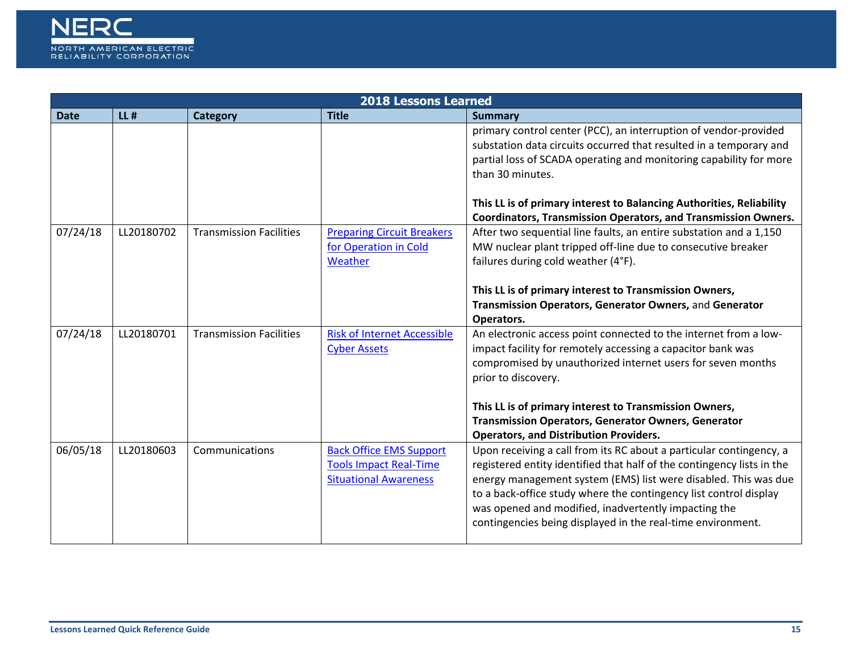

|             | <b>2018 Lessons Learned</b> |                                |                                                                                                 |                                                                                                                                                                                                                                                                                                                                                                                                              |  |  |
|-------------|-----------------------------|--------------------------------|-------------------------------------------------------------------------------------------------|--------------------------------------------------------------------------------------------------------------------------------------------------------------------------------------------------------------------------------------------------------------------------------------------------------------------------------------------------------------------------------------------------------------|--|--|
| <b>Date</b> | $LL$ #                      | Category                       | <b>Title</b>                                                                                    | <b>Summary</b>                                                                                                                                                                                                                                                                                                                                                                                               |  |  |
|             |                             |                                |                                                                                                 | primary control center (PCC), an interruption of vendor-provided<br>substation data circuits occurred that resulted in a temporary and<br>partial loss of SCADA operating and monitoring capability for more<br>than 30 minutes.                                                                                                                                                                             |  |  |
|             |                             |                                |                                                                                                 | This LL is of primary interest to Balancing Authorities, Reliability<br><b>Coordinators, Transmission Operators, and Transmission Owners.</b>                                                                                                                                                                                                                                                                |  |  |
| 07/24/18    | LL20180702                  | <b>Transmission Facilities</b> | <b>Preparing Circuit Breakers</b><br>for Operation in Cold<br>Weather                           | After two sequential line faults, an entire substation and a 1,150<br>MW nuclear plant tripped off-line due to consecutive breaker<br>failures during cold weather (4°F).                                                                                                                                                                                                                                    |  |  |
|             |                             |                                |                                                                                                 | This LL is of primary interest to Transmission Owners,<br>Transmission Operators, Generator Owners, and Generator<br>Operators.                                                                                                                                                                                                                                                                              |  |  |
| 07/24/18    | LL20180701                  | <b>Transmission Facilities</b> | <b>Risk of Internet Accessible</b><br><b>Cyber Assets</b>                                       | An electronic access point connected to the internet from a low-<br>impact facility for remotely accessing a capacitor bank was<br>compromised by unauthorized internet users for seven months<br>prior to discovery.                                                                                                                                                                                        |  |  |
|             |                             |                                |                                                                                                 | This LL is of primary interest to Transmission Owners,<br><b>Transmission Operators, Generator Owners, Generator</b><br><b>Operators, and Distribution Providers.</b>                                                                                                                                                                                                                                        |  |  |
| 06/05/18    | LL20180603                  | Communications                 | <b>Back Office EMS Support</b><br><b>Tools Impact Real-Time</b><br><b>Situational Awareness</b> | Upon receiving a call from its RC about a particular contingency, a<br>registered entity identified that half of the contingency lists in the<br>energy management system (EMS) list were disabled. This was due<br>to a back-office study where the contingency list control display<br>was opened and modified, inadvertently impacting the<br>contingencies being displayed in the real-time environment. |  |  |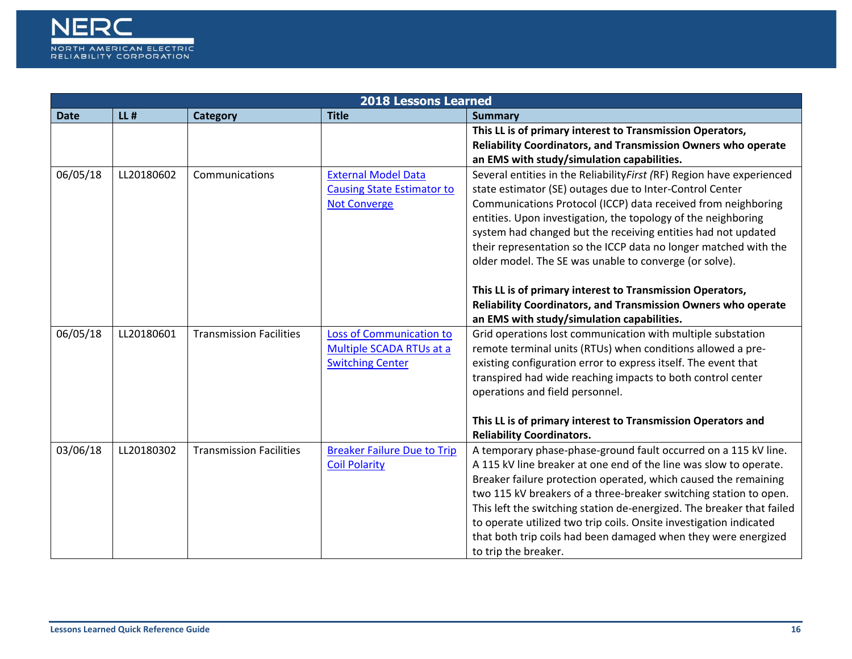

|             | <b>2018 Lessons Learned</b> |                                |                                    |                                                                       |  |  |
|-------------|-----------------------------|--------------------------------|------------------------------------|-----------------------------------------------------------------------|--|--|
| <b>Date</b> | $LL$ #                      | <b>Category</b>                | <b>Title</b>                       | <b>Summary</b>                                                        |  |  |
|             |                             |                                |                                    | This LL is of primary interest to Transmission Operators,             |  |  |
|             |                             |                                |                                    | Reliability Coordinators, and Transmission Owners who operate         |  |  |
|             |                             |                                |                                    | an EMS with study/simulation capabilities.                            |  |  |
| 06/05/18    | LL20180602                  | Communications                 | <b>External Model Data</b>         | Several entities in the ReliabilityFirst (RF) Region have experienced |  |  |
|             |                             |                                | <b>Causing State Estimator to</b>  | state estimator (SE) outages due to Inter-Control Center              |  |  |
|             |                             |                                | <b>Not Converge</b>                | Communications Protocol (ICCP) data received from neighboring         |  |  |
|             |                             |                                |                                    | entities. Upon investigation, the topology of the neighboring         |  |  |
|             |                             |                                |                                    | system had changed but the receiving entities had not updated         |  |  |
|             |                             |                                |                                    | their representation so the ICCP data no longer matched with the      |  |  |
|             |                             |                                |                                    | older model. The SE was unable to converge (or solve).                |  |  |
|             |                             |                                |                                    |                                                                       |  |  |
|             |                             |                                |                                    | This LL is of primary interest to Transmission Operators,             |  |  |
|             |                             |                                |                                    | Reliability Coordinators, and Transmission Owners who operate         |  |  |
|             |                             |                                |                                    | an EMS with study/simulation capabilities.                            |  |  |
| 06/05/18    | LL20180601                  | <b>Transmission Facilities</b> | <b>Loss of Communication to</b>    | Grid operations lost communication with multiple substation           |  |  |
|             |                             |                                | Multiple SCADA RTUs at a           | remote terminal units (RTUs) when conditions allowed a pre-           |  |  |
|             |                             |                                | <b>Switching Center</b>            | existing configuration error to express itself. The event that        |  |  |
|             |                             |                                |                                    | transpired had wide reaching impacts to both control center           |  |  |
|             |                             |                                |                                    | operations and field personnel.                                       |  |  |
|             |                             |                                |                                    |                                                                       |  |  |
|             |                             |                                |                                    | This LL is of primary interest to Transmission Operators and          |  |  |
|             |                             |                                |                                    | <b>Reliability Coordinators.</b>                                      |  |  |
| 03/06/18    | LL20180302                  | <b>Transmission Facilities</b> | <b>Breaker Failure Due to Trip</b> | A temporary phase-phase-ground fault occurred on a 115 kV line.       |  |  |
|             |                             |                                | <b>Coil Polarity</b>               | A 115 kV line breaker at one end of the line was slow to operate.     |  |  |
|             |                             |                                |                                    | Breaker failure protection operated, which caused the remaining       |  |  |
|             |                             |                                |                                    | two 115 kV breakers of a three-breaker switching station to open.     |  |  |
|             |                             |                                |                                    | This left the switching station de-energized. The breaker that failed |  |  |
|             |                             |                                |                                    | to operate utilized two trip coils. Onsite investigation indicated    |  |  |
|             |                             |                                |                                    | that both trip coils had been damaged when they were energized        |  |  |
|             |                             |                                |                                    | to trip the breaker.                                                  |  |  |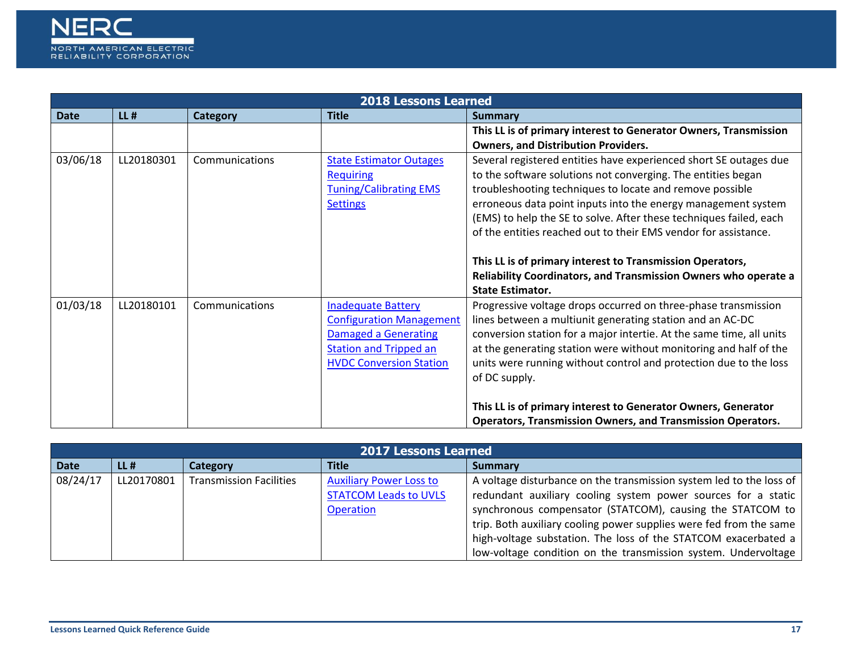

|             |            |                 | <b>2018 Lessons Learned</b>     |                                                                                                                                     |
|-------------|------------|-----------------|---------------------------------|-------------------------------------------------------------------------------------------------------------------------------------|
| <b>Date</b> | $LL$ #     | <b>Category</b> | <b>Title</b>                    | Summary                                                                                                                             |
|             |            |                 |                                 | This LL is of primary interest to Generator Owners, Transmission                                                                    |
|             |            |                 |                                 | <b>Owners, and Distribution Providers.</b>                                                                                          |
| 03/06/18    | LL20180301 | Communications  | <b>State Estimator Outages</b>  | Several registered entities have experienced short SE outages due                                                                   |
|             |            |                 | <b>Requiring</b>                | to the software solutions not converging. The entities began                                                                        |
|             |            |                 | <b>Tuning/Calibrating EMS</b>   | troubleshooting techniques to locate and remove possible                                                                            |
|             |            |                 | <b>Settings</b>                 | erroneous data point inputs into the energy management system                                                                       |
|             |            |                 |                                 | (EMS) to help the SE to solve. After these techniques failed, each                                                                  |
|             |            |                 |                                 | of the entities reached out to their EMS vendor for assistance.                                                                     |
|             |            |                 |                                 |                                                                                                                                     |
|             |            |                 |                                 | This LL is of primary interest to Transmission Operators,                                                                           |
|             |            |                 |                                 | Reliability Coordinators, and Transmission Owners who operate a                                                                     |
|             |            |                 |                                 | <b>State Estimator.</b>                                                                                                             |
| 01/03/18    | LL20180101 | Communications  | <b>Inadequate Battery</b>       | Progressive voltage drops occurred on three-phase transmission                                                                      |
|             |            |                 | <b>Configuration Management</b> | lines between a multiunit generating station and an AC-DC                                                                           |
|             |            |                 | <b>Damaged a Generating</b>     | conversion station for a major intertie. At the same time, all units                                                                |
|             |            |                 | <b>Station and Tripped an</b>   | at the generating station were without monitoring and half of the                                                                   |
|             |            |                 | <b>HVDC Conversion Station</b>  | units were running without control and protection due to the loss                                                                   |
|             |            |                 |                                 | of DC supply.                                                                                                                       |
|             |            |                 |                                 |                                                                                                                                     |
|             |            |                 |                                 | This LL is of primary interest to Generator Owners, Generator<br><b>Operators, Transmission Owners, and Transmission Operators.</b> |

|             | <b>2017 Lessons Learned</b> |                                |                                |                                                                     |  |  |
|-------------|-----------------------------|--------------------------------|--------------------------------|---------------------------------------------------------------------|--|--|
| <b>Date</b> | $LL$ #                      | Category                       | <b>Title</b>                   | <b>Summary</b>                                                      |  |  |
| 08/24/17    | LL20170801                  | <b>Transmission Facilities</b> | <b>Auxiliary Power Loss to</b> | A voltage disturbance on the transmission system led to the loss of |  |  |
|             |                             |                                | <b>STATCOM Leads to UVLS</b>   | redundant auxiliary cooling system power sources for a static       |  |  |
|             |                             |                                | <b>Operation</b>               | synchronous compensator (STATCOM), causing the STATCOM to           |  |  |
|             |                             |                                |                                | trip. Both auxiliary cooling power supplies were fed from the same  |  |  |
|             |                             |                                |                                | high-voltage substation. The loss of the STATCOM exacerbated a      |  |  |
|             |                             |                                |                                | low-voltage condition on the transmission system. Undervoltage      |  |  |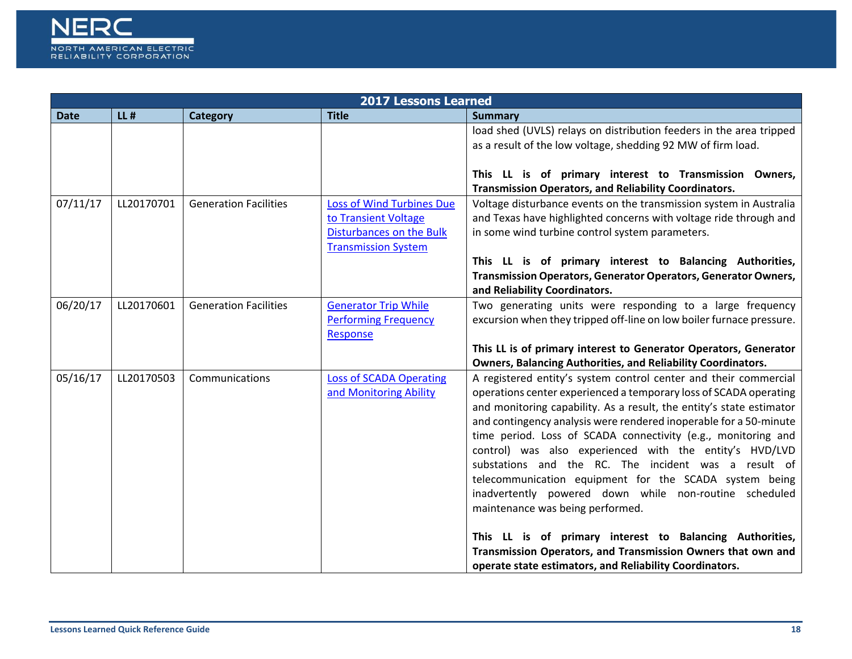

|             |            |                              | <b>2017 Lessons Learned</b>      |                                                                      |
|-------------|------------|------------------------------|----------------------------------|----------------------------------------------------------------------|
| <b>Date</b> | $LL$ #     | Category                     | <b>Title</b>                     | <b>Summary</b>                                                       |
|             |            |                              |                                  | load shed (UVLS) relays on distribution feeders in the area tripped  |
|             |            |                              |                                  | as a result of the low voltage, shedding 92 MW of firm load.         |
|             |            |                              |                                  |                                                                      |
|             |            |                              |                                  | This LL is of primary interest to Transmission Owners,               |
|             |            |                              |                                  | <b>Transmission Operators, and Reliability Coordinators.</b>         |
| 07/11/17    | LL20170701 | <b>Generation Facilities</b> | <b>Loss of Wind Turbines Due</b> | Voltage disturbance events on the transmission system in Australia   |
|             |            |                              | to Transient Voltage             | and Texas have highlighted concerns with voltage ride through and    |
|             |            |                              | <b>Disturbances on the Bulk</b>  | in some wind turbine control system parameters.                      |
|             |            |                              | <b>Transmission System</b>       |                                                                      |
|             |            |                              |                                  | This LL is of primary interest to Balancing Authorities,             |
|             |            |                              |                                  | Transmission Operators, Generator Operators, Generator Owners,       |
|             |            |                              |                                  | and Reliability Coordinators.                                        |
| 06/20/17    | LL20170601 | <b>Generation Facilities</b> | <b>Generator Trip While</b>      | Two generating units were responding to a large frequency            |
|             |            |                              | <b>Performing Frequency</b>      | excursion when they tripped off-line on low boiler furnace pressure. |
|             |            |                              | Response                         |                                                                      |
|             |            |                              |                                  | This LL is of primary interest to Generator Operators, Generator     |
|             |            |                              |                                  | Owners, Balancing Authorities, and Reliability Coordinators.         |
| 05/16/17    | LL20170503 | Communications               | <b>Loss of SCADA Operating</b>   | A registered entity's system control center and their commercial     |
|             |            |                              | and Monitoring Ability           | operations center experienced a temporary loss of SCADA operating    |
|             |            |                              |                                  | and monitoring capability. As a result, the entity's state estimator |
|             |            |                              |                                  | and contingency analysis were rendered inoperable for a 50-minute    |
|             |            |                              |                                  | time period. Loss of SCADA connectivity (e.g., monitoring and        |
|             |            |                              |                                  | control) was also experienced with the entity's HVD/LVD              |
|             |            |                              |                                  | substations and the RC. The incident was a result of                 |
|             |            |                              |                                  | telecommunication equipment for the SCADA system being               |
|             |            |                              |                                  | inadvertently powered down while non-routine scheduled               |
|             |            |                              |                                  | maintenance was being performed.                                     |
|             |            |                              |                                  | This LL is of primary interest to Balancing Authorities,             |
|             |            |                              |                                  | Transmission Operators, and Transmission Owners that own and         |
|             |            |                              |                                  |                                                                      |
|             |            |                              |                                  | operate state estimators, and Reliability Coordinators.              |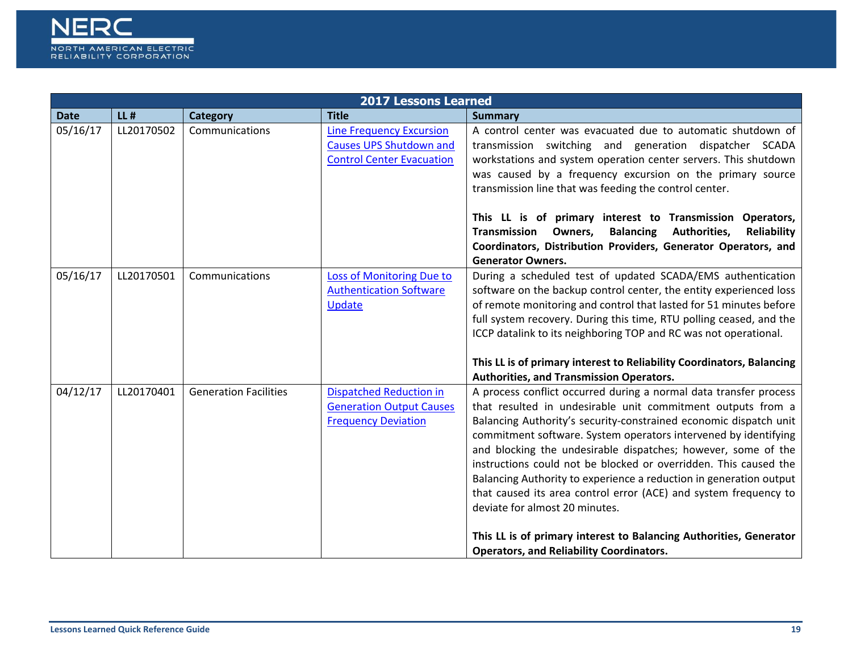

|             | <b>2017 Lessons Learned</b> |                              |                                                                                                       |                                                                                                                                                                                                                                                                                                                                                                                                                                                                                                                                                                                                                                                                                                                    |  |  |
|-------------|-----------------------------|------------------------------|-------------------------------------------------------------------------------------------------------|--------------------------------------------------------------------------------------------------------------------------------------------------------------------------------------------------------------------------------------------------------------------------------------------------------------------------------------------------------------------------------------------------------------------------------------------------------------------------------------------------------------------------------------------------------------------------------------------------------------------------------------------------------------------------------------------------------------------|--|--|
| <b>Date</b> | $LL$ #                      | <b>Category</b>              | <b>Title</b>                                                                                          | <b>Summary</b>                                                                                                                                                                                                                                                                                                                                                                                                                                                                                                                                                                                                                                                                                                     |  |  |
| 05/16/17    | LL20170502                  | Communications               | <b>Line Frequency Excursion</b><br><b>Causes UPS Shutdown and</b><br><b>Control Center Evacuation</b> | A control center was evacuated due to automatic shutdown of<br>transmission switching and generation dispatcher SCADA<br>workstations and system operation center servers. This shutdown<br>was caused by a frequency excursion on the primary source<br>transmission line that was feeding the control center.<br>This LL is of primary interest to Transmission Operators,<br>Transmission<br><b>Balancing</b><br>Authorities,<br>Reliability<br>Owners,<br>Coordinators, Distribution Providers, Generator Operators, and<br><b>Generator Owners.</b>                                                                                                                                                           |  |  |
| 05/16/17    | LL20170501                  | Communications               | Loss of Monitoring Due to<br><b>Authentication Software</b><br>Update                                 | During a scheduled test of updated SCADA/EMS authentication<br>software on the backup control center, the entity experienced loss<br>of remote monitoring and control that lasted for 51 minutes before<br>full system recovery. During this time, RTU polling ceased, and the<br>ICCP datalink to its neighboring TOP and RC was not operational.<br>This LL is of primary interest to Reliability Coordinators, Balancing<br><b>Authorities, and Transmission Operators.</b>                                                                                                                                                                                                                                     |  |  |
| 04/12/17    | LL20170401                  | <b>Generation Facilities</b> | <b>Dispatched Reduction in</b><br><b>Generation Output Causes</b><br><b>Frequency Deviation</b>       | A process conflict occurred during a normal data transfer process<br>that resulted in undesirable unit commitment outputs from a<br>Balancing Authority's security-constrained economic dispatch unit<br>commitment software. System operators intervened by identifying<br>and blocking the undesirable dispatches; however, some of the<br>instructions could not be blocked or overridden. This caused the<br>Balancing Authority to experience a reduction in generation output<br>that caused its area control error (ACE) and system frequency to<br>deviate for almost 20 minutes.<br>This LL is of primary interest to Balancing Authorities, Generator<br><b>Operators, and Reliability Coordinators.</b> |  |  |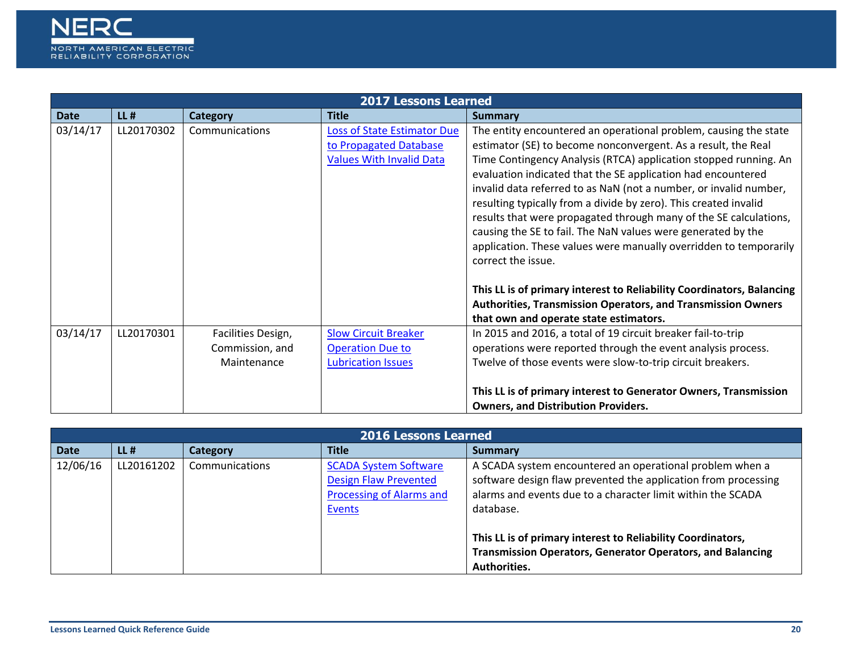

|             | <b>2017 Lessons Learned</b> |                                                      |                                                                                                 |                                                                                                                                                                                                                                                                                                                                                                                                                                                                                                                                                                                                                                                                                                                         |  |  |
|-------------|-----------------------------|------------------------------------------------------|-------------------------------------------------------------------------------------------------|-------------------------------------------------------------------------------------------------------------------------------------------------------------------------------------------------------------------------------------------------------------------------------------------------------------------------------------------------------------------------------------------------------------------------------------------------------------------------------------------------------------------------------------------------------------------------------------------------------------------------------------------------------------------------------------------------------------------------|--|--|
| <b>Date</b> | $LL$ #                      | <b>Category</b>                                      | <b>Title</b>                                                                                    | <b>Summary</b>                                                                                                                                                                                                                                                                                                                                                                                                                                                                                                                                                                                                                                                                                                          |  |  |
| 03/14/17    | LL20170302                  | Communications                                       | <b>Loss of State Estimator Due</b><br>to Propagated Database<br><b>Values With Invalid Data</b> | The entity encountered an operational problem, causing the state<br>estimator (SE) to become nonconvergent. As a result, the Real<br>Time Contingency Analysis (RTCA) application stopped running. An<br>evaluation indicated that the SE application had encountered<br>invalid data referred to as NaN (not a number, or invalid number,<br>resulting typically from a divide by zero). This created invalid<br>results that were propagated through many of the SE calculations,<br>causing the SE to fail. The NaN values were generated by the<br>application. These values were manually overridden to temporarily<br>correct the issue.<br>This LL is of primary interest to Reliability Coordinators, Balancing |  |  |
|             |                             |                                                      |                                                                                                 | <b>Authorities, Transmission Operators, and Transmission Owners</b><br>that own and operate state estimators.                                                                                                                                                                                                                                                                                                                                                                                                                                                                                                                                                                                                           |  |  |
| 03/14/17    | LL20170301                  | Facilities Design,<br>Commission, and<br>Maintenance | <b>Slow Circuit Breaker</b><br><b>Operation Due to</b><br><b>Lubrication Issues</b>             | In 2015 and 2016, a total of 19 circuit breaker fail-to-trip<br>operations were reported through the event analysis process.<br>Twelve of those events were slow-to-trip circuit breakers.                                                                                                                                                                                                                                                                                                                                                                                                                                                                                                                              |  |  |
|             |                             |                                                      |                                                                                                 | This LL is of primary interest to Generator Owners, Transmission<br><b>Owners, and Distribution Providers.</b>                                                                                                                                                                                                                                                                                                                                                                                                                                                                                                                                                                                                          |  |  |

|             | <b>2016 Lessons Learned</b> |                |                                                                                                           |                                                                                                                                                                                                        |  |  |
|-------------|-----------------------------|----------------|-----------------------------------------------------------------------------------------------------------|--------------------------------------------------------------------------------------------------------------------------------------------------------------------------------------------------------|--|--|
| <b>Date</b> | $LL$ #                      | Category       | <b>Title</b>                                                                                              | <b>Summary</b>                                                                                                                                                                                         |  |  |
| 12/06/16    | LL20161202                  | Communications | <b>SCADA System Software</b><br><b>Design Flaw Prevented</b><br><b>Processing of Alarms and</b><br>Events | A SCADA system encountered an operational problem when a<br>software design flaw prevented the application from processing<br>alarms and events due to a character limit within the SCADA<br>database. |  |  |
|             |                             |                |                                                                                                           | This LL is of primary interest to Reliability Coordinators,<br><b>Transmission Operators, Generator Operators, and Balancing</b><br>Authorities.                                                       |  |  |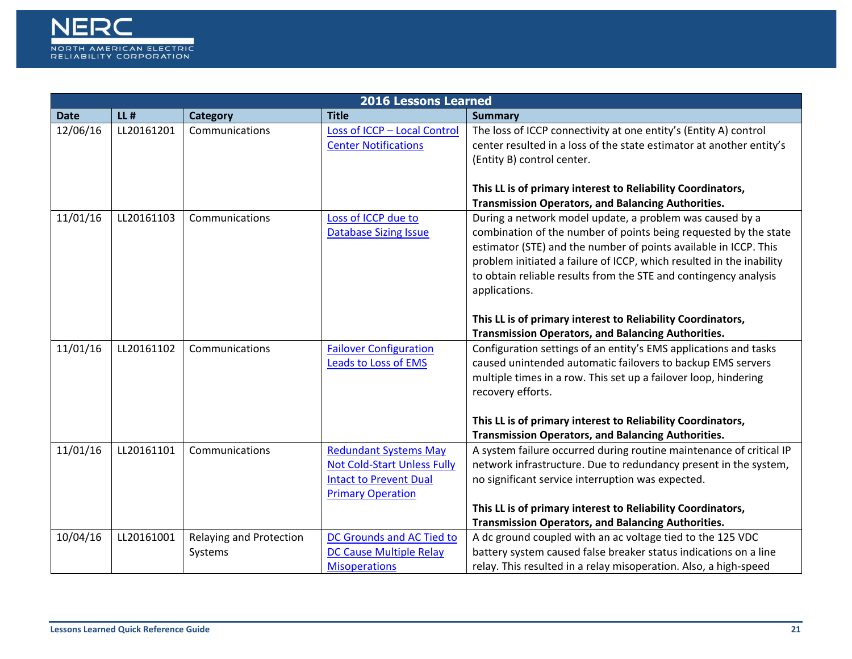

|             | <b>2016 Lessons Learned</b> |                         |                                    |                                                                      |  |
|-------------|-----------------------------|-------------------------|------------------------------------|----------------------------------------------------------------------|--|
| <b>Date</b> | $LL$ #                      | Category                | <b>Title</b>                       | <b>Summary</b>                                                       |  |
| 12/06/16    | LL20161201                  | Communications          | Loss of ICCP - Local Control       | The loss of ICCP connectivity at one entity's (Entity A) control     |  |
|             |                             |                         | <b>Center Notifications</b>        | center resulted in a loss of the state estimator at another entity's |  |
|             |                             |                         |                                    | (Entity B) control center.                                           |  |
|             |                             |                         |                                    |                                                                      |  |
|             |                             |                         |                                    | This LL is of primary interest to Reliability Coordinators,          |  |
|             |                             |                         |                                    | <b>Transmission Operators, and Balancing Authorities.</b>            |  |
| 11/01/16    | LL20161103                  | Communications          | Loss of ICCP due to                | During a network model update, a problem was caused by a             |  |
|             |                             |                         | <b>Database Sizing Issue</b>       | combination of the number of points being requested by the state     |  |
|             |                             |                         |                                    | estimator (STE) and the number of points available in ICCP. This     |  |
|             |                             |                         |                                    | problem initiated a failure of ICCP, which resulted in the inability |  |
|             |                             |                         |                                    | to obtain reliable results from the STE and contingency analysis     |  |
|             |                             |                         |                                    | applications.                                                        |  |
|             |                             |                         |                                    |                                                                      |  |
|             |                             |                         |                                    | This LL is of primary interest to Reliability Coordinators,          |  |
|             |                             |                         |                                    | <b>Transmission Operators, and Balancing Authorities.</b>            |  |
| 11/01/16    | LL20161102                  | Communications          | <b>Failover Configuration</b>      | Configuration settings of an entity's EMS applications and tasks     |  |
|             |                             |                         | Leads to Loss of EMS               | caused unintended automatic failovers to backup EMS servers          |  |
|             |                             |                         |                                    | multiple times in a row. This set up a failover loop, hindering      |  |
|             |                             |                         |                                    | recovery efforts.                                                    |  |
|             |                             |                         |                                    |                                                                      |  |
|             |                             |                         |                                    | This LL is of primary interest to Reliability Coordinators,          |  |
|             |                             |                         |                                    | <b>Transmission Operators, and Balancing Authorities.</b>            |  |
| 11/01/16    | LL20161101                  | Communications          | <b>Redundant Systems May</b>       | A system failure occurred during routine maintenance of critical IP  |  |
|             |                             |                         | <b>Not Cold-Start Unless Fully</b> | network infrastructure. Due to redundancy present in the system,     |  |
|             |                             |                         | <b>Intact to Prevent Dual</b>      | no significant service interruption was expected.                    |  |
|             |                             |                         | <b>Primary Operation</b>           |                                                                      |  |
|             |                             |                         |                                    | This LL is of primary interest to Reliability Coordinators,          |  |
|             |                             |                         |                                    | <b>Transmission Operators, and Balancing Authorities.</b>            |  |
| 10/04/16    | LL20161001                  | Relaying and Protection | DC Grounds and AC Tied to          | A dc ground coupled with an ac voltage tied to the 125 VDC           |  |
|             |                             | Systems                 | <b>DC Cause Multiple Relay</b>     | battery system caused false breaker status indications on a line     |  |
|             |                             |                         | <b>Misoperations</b>               | relay. This resulted in a relay misoperation. Also, a high-speed     |  |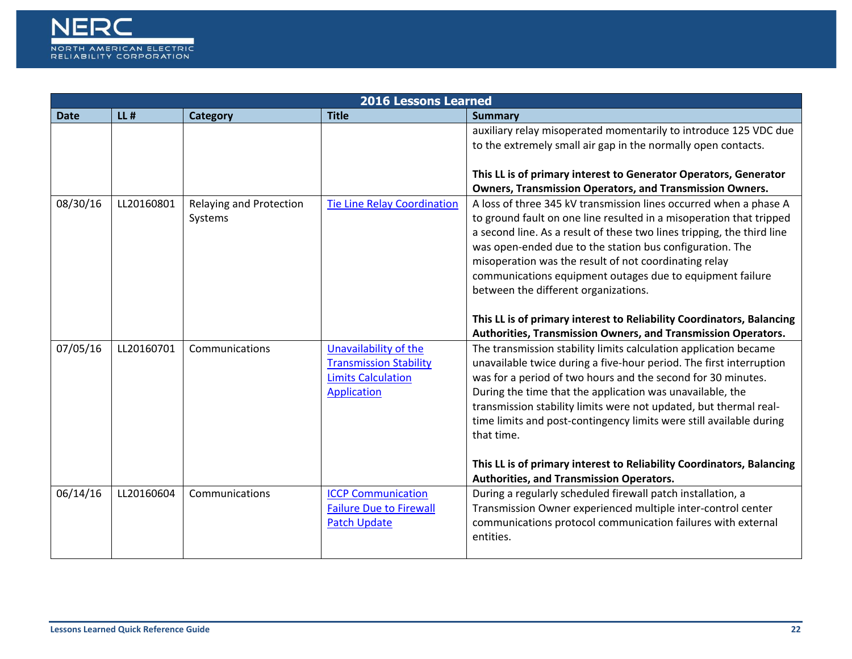

|             |            |                                    | <b>2016 Lessons Learned</b>                                                                        |                                                                                                                                                                                                                                                                                                                                                                                                                                                                                                                                                                                        |
|-------------|------------|------------------------------------|----------------------------------------------------------------------------------------------------|----------------------------------------------------------------------------------------------------------------------------------------------------------------------------------------------------------------------------------------------------------------------------------------------------------------------------------------------------------------------------------------------------------------------------------------------------------------------------------------------------------------------------------------------------------------------------------------|
| <b>Date</b> | $LL$ #     | Category                           | <b>Title</b>                                                                                       | <b>Summary</b>                                                                                                                                                                                                                                                                                                                                                                                                                                                                                                                                                                         |
|             |            |                                    |                                                                                                    | auxiliary relay misoperated momentarily to introduce 125 VDC due<br>to the extremely small air gap in the normally open contacts.                                                                                                                                                                                                                                                                                                                                                                                                                                                      |
|             |            |                                    |                                                                                                    | This LL is of primary interest to Generator Operators, Generator<br><b>Owners, Transmission Operators, and Transmission Owners.</b>                                                                                                                                                                                                                                                                                                                                                                                                                                                    |
| 08/30/16    | LL20160801 | Relaying and Protection<br>Systems | <b>Tie Line Relay Coordination</b>                                                                 | A loss of three 345 kV transmission lines occurred when a phase A<br>to ground fault on one line resulted in a misoperation that tripped<br>a second line. As a result of these two lines tripping, the third line<br>was open-ended due to the station bus configuration. The<br>misoperation was the result of not coordinating relay<br>communications equipment outages due to equipment failure<br>between the different organizations.<br>This LL is of primary interest to Reliability Coordinators, Balancing<br>Authorities, Transmission Owners, and Transmission Operators. |
| 07/05/16    | LL20160701 | Communications                     | Unavailability of the<br><b>Transmission Stability</b><br><b>Limits Calculation</b><br>Application | The transmission stability limits calculation application became<br>unavailable twice during a five-hour period. The first interruption<br>was for a period of two hours and the second for 30 minutes.<br>During the time that the application was unavailable, the<br>transmission stability limits were not updated, but thermal real-<br>time limits and post-contingency limits were still available during<br>that time.<br>This LL is of primary interest to Reliability Coordinators, Balancing                                                                                |
| 06/14/16    | LL20160604 | Communications                     | <b>ICCP Communication</b><br><b>Failure Due to Firewall</b><br><b>Patch Update</b>                 | <b>Authorities, and Transmission Operators.</b><br>During a regularly scheduled firewall patch installation, a<br>Transmission Owner experienced multiple inter-control center<br>communications protocol communication failures with external<br>entities.                                                                                                                                                                                                                                                                                                                            |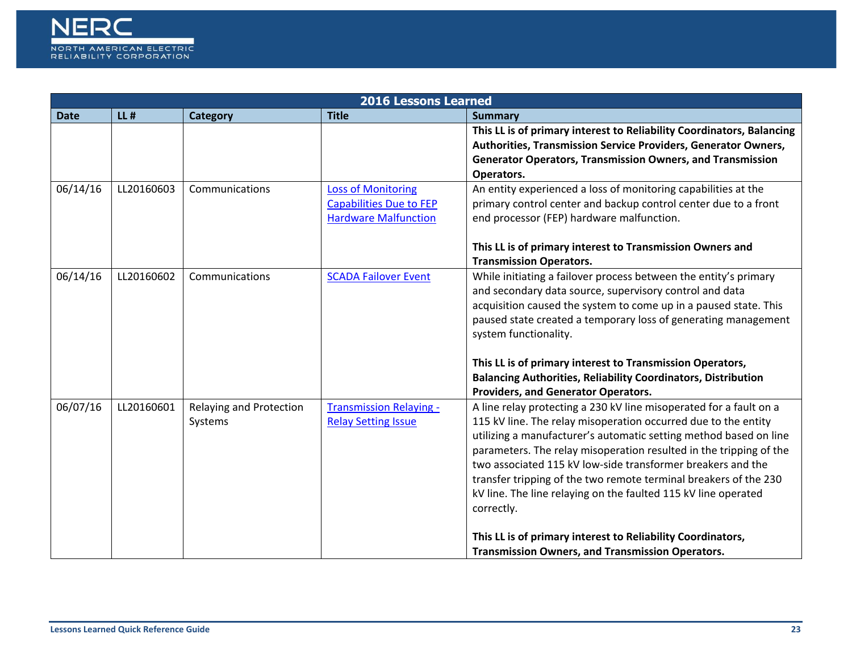

| <b>2016 Lessons Learned</b> |            |                                    |                                                                                            |                                                                                                                                                                                                                                                                                                                                                                                                                                                                                                                                                                   |
|-----------------------------|------------|------------------------------------|--------------------------------------------------------------------------------------------|-------------------------------------------------------------------------------------------------------------------------------------------------------------------------------------------------------------------------------------------------------------------------------------------------------------------------------------------------------------------------------------------------------------------------------------------------------------------------------------------------------------------------------------------------------------------|
| <b>Date</b>                 | $LL$ #     | <b>Category</b>                    | <b>Title</b>                                                                               | <b>Summary</b>                                                                                                                                                                                                                                                                                                                                                                                                                                                                                                                                                    |
|                             |            |                                    |                                                                                            | This LL is of primary interest to Reliability Coordinators, Balancing<br>Authorities, Transmission Service Providers, Generator Owners,<br><b>Generator Operators, Transmission Owners, and Transmission</b><br>Operators.                                                                                                                                                                                                                                                                                                                                        |
| 06/14/16                    | LL20160603 | Communications                     | <b>Loss of Monitoring</b><br><b>Capabilities Due to FEP</b><br><b>Hardware Malfunction</b> | An entity experienced a loss of monitoring capabilities at the<br>primary control center and backup control center due to a front<br>end processor (FEP) hardware malfunction.<br>This LL is of primary interest to Transmission Owners and<br><b>Transmission Operators.</b>                                                                                                                                                                                                                                                                                     |
| 06/14/16                    | LL20160602 | Communications                     | <b>SCADA Failover Event</b>                                                                | While initiating a failover process between the entity's primary<br>and secondary data source, supervisory control and data<br>acquisition caused the system to come up in a paused state. This<br>paused state created a temporary loss of generating management<br>system functionality.<br>This LL is of primary interest to Transmission Operators,<br><b>Balancing Authorities, Reliability Coordinators, Distribution</b><br>Providers, and Generator Operators.                                                                                            |
| 06/07/16                    | LL20160601 | Relaying and Protection<br>Systems | <b>Transmission Relaying -</b><br><b>Relay Setting Issue</b>                               | A line relay protecting a 230 kV line misoperated for a fault on a<br>115 kV line. The relay misoperation occurred due to the entity<br>utilizing a manufacturer's automatic setting method based on line<br>parameters. The relay misoperation resulted in the tripping of the<br>two associated 115 kV low-side transformer breakers and the<br>transfer tripping of the two remote terminal breakers of the 230<br>kV line. The line relaying on the faulted 115 kV line operated<br>correctly.<br>This LL is of primary interest to Reliability Coordinators, |
|                             |            |                                    |                                                                                            | <b>Transmission Owners, and Transmission Operators.</b>                                                                                                                                                                                                                                                                                                                                                                                                                                                                                                           |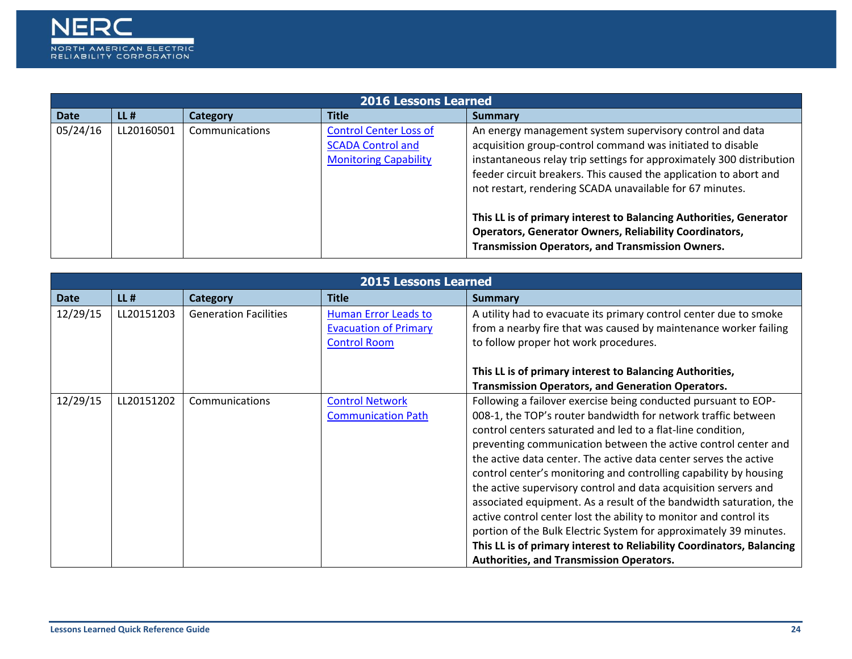

|             | <b>2016 Lessons Learned</b> |                |                                                                                           |                                                                                                                                                                                                                                                                                                                                                                                                       |  |
|-------------|-----------------------------|----------------|-------------------------------------------------------------------------------------------|-------------------------------------------------------------------------------------------------------------------------------------------------------------------------------------------------------------------------------------------------------------------------------------------------------------------------------------------------------------------------------------------------------|--|
| <b>Date</b> | $LL$ #                      | Category       | <b>Title</b>                                                                              | <b>Summary</b>                                                                                                                                                                                                                                                                                                                                                                                        |  |
| 05/24/16    | LL20160501                  | Communications | <b>Control Center Loss of</b><br><b>SCADA Control and</b><br><b>Monitoring Capability</b> | An energy management system supervisory control and data<br>acquisition group-control command was initiated to disable<br>instantaneous relay trip settings for approximately 300 distribution<br>feeder circuit breakers. This caused the application to abort and<br>not restart, rendering SCADA unavailable for 67 minutes.<br>This LL is of primary interest to Balancing Authorities, Generator |  |
|             |                             |                |                                                                                           | <b>Operators, Generator Owners, Reliability Coordinators,</b><br>Transmission Operators, and Transmission Owners.                                                                                                                                                                                                                                                                                     |  |

|             |            |                              | <b>2015 Lessons Learned</b>  |                                                                       |
|-------------|------------|------------------------------|------------------------------|-----------------------------------------------------------------------|
| <b>Date</b> | $LL$ #     | <b>Category</b>              | <b>Title</b>                 | Summary                                                               |
| 12/29/15    | LL20151203 | <b>Generation Facilities</b> | Human Error Leads to         | A utility had to evacuate its primary control center due to smoke     |
|             |            |                              | <b>Evacuation of Primary</b> | from a nearby fire that was caused by maintenance worker failing      |
|             |            |                              | <b>Control Room</b>          | to follow proper hot work procedures.                                 |
|             |            |                              |                              |                                                                       |
|             |            |                              |                              | This LL is of primary interest to Balancing Authorities,              |
|             |            |                              |                              | <b>Transmission Operators, and Generation Operators.</b>              |
| 12/29/15    | LL20151202 | Communications               | <b>Control Network</b>       | Following a failover exercise being conducted pursuant to EOP-        |
|             |            |                              | <b>Communication Path</b>    | 008-1, the TOP's router bandwidth for network traffic between         |
|             |            |                              |                              | control centers saturated and led to a flat-line condition,           |
|             |            |                              |                              | preventing communication between the active control center and        |
|             |            |                              |                              | the active data center. The active data center serves the active      |
|             |            |                              |                              | control center's monitoring and controlling capability by housing     |
|             |            |                              |                              | the active supervisory control and data acquisition servers and       |
|             |            |                              |                              | associated equipment. As a result of the bandwidth saturation, the    |
|             |            |                              |                              | active control center lost the ability to monitor and control its     |
|             |            |                              |                              | portion of the Bulk Electric System for approximately 39 minutes.     |
|             |            |                              |                              | This LL is of primary interest to Reliability Coordinators, Balancing |
|             |            |                              |                              | <b>Authorities, and Transmission Operators.</b>                       |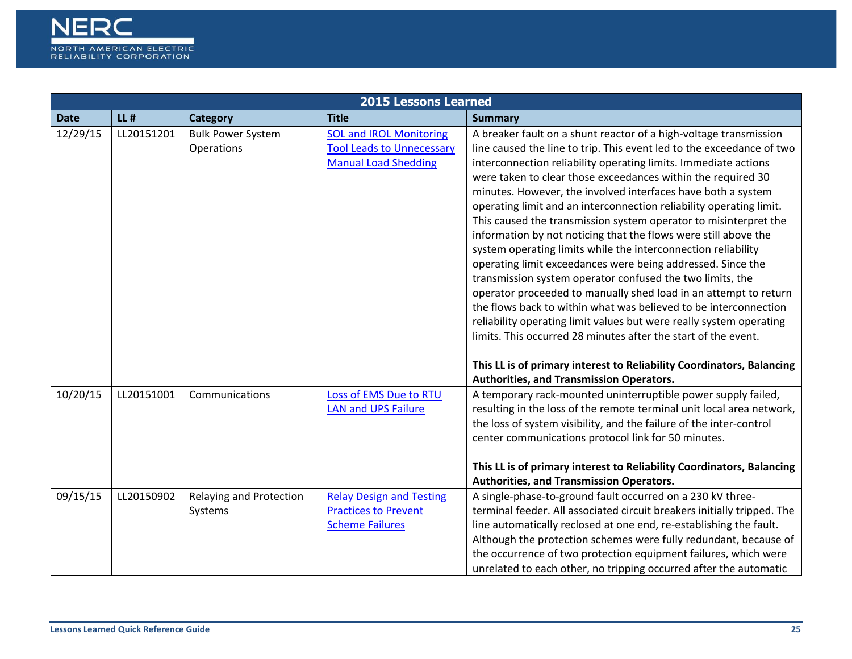

|             | <b>2015 Lessons Learned</b> |                                        |                                                                                                   |                                                                                                                                                                                                                                                                                                                                                                                                                                                                                                                                                                                                                                                                                                                                                                                                                                                                                                                                                                                                                                                                                                                    |  |
|-------------|-----------------------------|----------------------------------------|---------------------------------------------------------------------------------------------------|--------------------------------------------------------------------------------------------------------------------------------------------------------------------------------------------------------------------------------------------------------------------------------------------------------------------------------------------------------------------------------------------------------------------------------------------------------------------------------------------------------------------------------------------------------------------------------------------------------------------------------------------------------------------------------------------------------------------------------------------------------------------------------------------------------------------------------------------------------------------------------------------------------------------------------------------------------------------------------------------------------------------------------------------------------------------------------------------------------------------|--|
| <b>Date</b> | $LL$ #                      | Category                               | <b>Title</b>                                                                                      | <b>Summary</b>                                                                                                                                                                                                                                                                                                                                                                                                                                                                                                                                                                                                                                                                                                                                                                                                                                                                                                                                                                                                                                                                                                     |  |
| 12/29/15    | LL20151201                  | <b>Bulk Power System</b><br>Operations | <b>SOL and IROL Monitoring</b><br><b>Tool Leads to Unnecessary</b><br><b>Manual Load Shedding</b> | A breaker fault on a shunt reactor of a high-voltage transmission<br>line caused the line to trip. This event led to the exceedance of two<br>interconnection reliability operating limits. Immediate actions<br>were taken to clear those exceedances within the required 30<br>minutes. However, the involved interfaces have both a system<br>operating limit and an interconnection reliability operating limit.<br>This caused the transmission system operator to misinterpret the<br>information by not noticing that the flows were still above the<br>system operating limits while the interconnection reliability<br>operating limit exceedances were being addressed. Since the<br>transmission system operator confused the two limits, the<br>operator proceeded to manually shed load in an attempt to return<br>the flows back to within what was believed to be interconnection<br>reliability operating limit values but were really system operating<br>limits. This occurred 28 minutes after the start of the event.<br>This LL is of primary interest to Reliability Coordinators, Balancing |  |
| 10/20/15    | LL20151001                  | Communications                         | Loss of EMS Due to RTU<br><b>LAN and UPS Failure</b>                                              | Authorities, and Transmission Operators.<br>A temporary rack-mounted uninterruptible power supply failed,<br>resulting in the loss of the remote terminal unit local area network,<br>the loss of system visibility, and the failure of the inter-control<br>center communications protocol link for 50 minutes.<br>This LL is of primary interest to Reliability Coordinators, Balancing<br>Authorities, and Transmission Operators.                                                                                                                                                                                                                                                                                                                                                                                                                                                                                                                                                                                                                                                                              |  |
| 09/15/15    | LL20150902                  | Relaying and Protection<br>Systems     | <b>Relay Design and Testing</b><br><b>Practices to Prevent</b><br><b>Scheme Failures</b>          | A single-phase-to-ground fault occurred on a 230 kV three-<br>terminal feeder. All associated circuit breakers initially tripped. The<br>line automatically reclosed at one end, re-establishing the fault.<br>Although the protection schemes were fully redundant, because of<br>the occurrence of two protection equipment failures, which were<br>unrelated to each other, no tripping occurred after the automatic                                                                                                                                                                                                                                                                                                                                                                                                                                                                                                                                                                                                                                                                                            |  |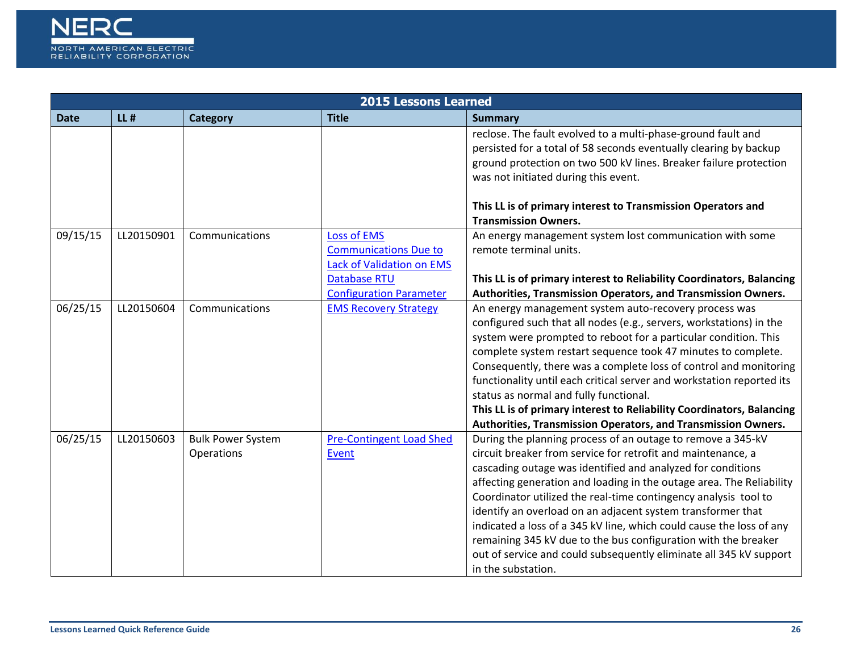

|             |            |                                        | <b>2015 Lessons Learned</b>                                                                                                              |                                                                                                                                                                                                                                                                                                                                                                                                                                                                                                                                                                                                                                            |
|-------------|------------|----------------------------------------|------------------------------------------------------------------------------------------------------------------------------------------|--------------------------------------------------------------------------------------------------------------------------------------------------------------------------------------------------------------------------------------------------------------------------------------------------------------------------------------------------------------------------------------------------------------------------------------------------------------------------------------------------------------------------------------------------------------------------------------------------------------------------------------------|
| <b>Date</b> | $LL$ #     | Category                               | <b>Title</b>                                                                                                                             | <b>Summary</b>                                                                                                                                                                                                                                                                                                                                                                                                                                                                                                                                                                                                                             |
|             |            |                                        |                                                                                                                                          | reclose. The fault evolved to a multi-phase-ground fault and<br>persisted for a total of 58 seconds eventually clearing by backup<br>ground protection on two 500 kV lines. Breaker failure protection<br>was not initiated during this event.<br>This LL is of primary interest to Transmission Operators and<br><b>Transmission Owners.</b>                                                                                                                                                                                                                                                                                              |
| 09/15/15    | LL20150901 | Communications                         | <b>Loss of EMS</b><br><b>Communications Due to</b><br>Lack of Validation on EMS<br><b>Database RTU</b><br><b>Configuration Parameter</b> | An energy management system lost communication with some<br>remote terminal units.<br>This LL is of primary interest to Reliability Coordinators, Balancing<br>Authorities, Transmission Operators, and Transmission Owners.                                                                                                                                                                                                                                                                                                                                                                                                               |
| 06/25/15    | LL20150604 | Communications                         | <b>EMS Recovery Strategy</b>                                                                                                             | An energy management system auto-recovery process was<br>configured such that all nodes (e.g., servers, workstations) in the<br>system were prompted to reboot for a particular condition. This<br>complete system restart sequence took 47 minutes to complete.<br>Consequently, there was a complete loss of control and monitoring<br>functionality until each critical server and workstation reported its<br>status as normal and fully functional.<br>This LL is of primary interest to Reliability Coordinators, Balancing<br>Authorities, Transmission Operators, and Transmission Owners.                                         |
| 06/25/15    | LL20150603 | <b>Bulk Power System</b><br>Operations | <b>Pre-Contingent Load Shed</b><br>Event                                                                                                 | During the planning process of an outage to remove a 345-kV<br>circuit breaker from service for retrofit and maintenance, a<br>cascading outage was identified and analyzed for conditions<br>affecting generation and loading in the outage area. The Reliability<br>Coordinator utilized the real-time contingency analysis tool to<br>identify an overload on an adjacent system transformer that<br>indicated a loss of a 345 kV line, which could cause the loss of any<br>remaining 345 kV due to the bus configuration with the breaker<br>out of service and could subsequently eliminate all 345 kV support<br>in the substation. |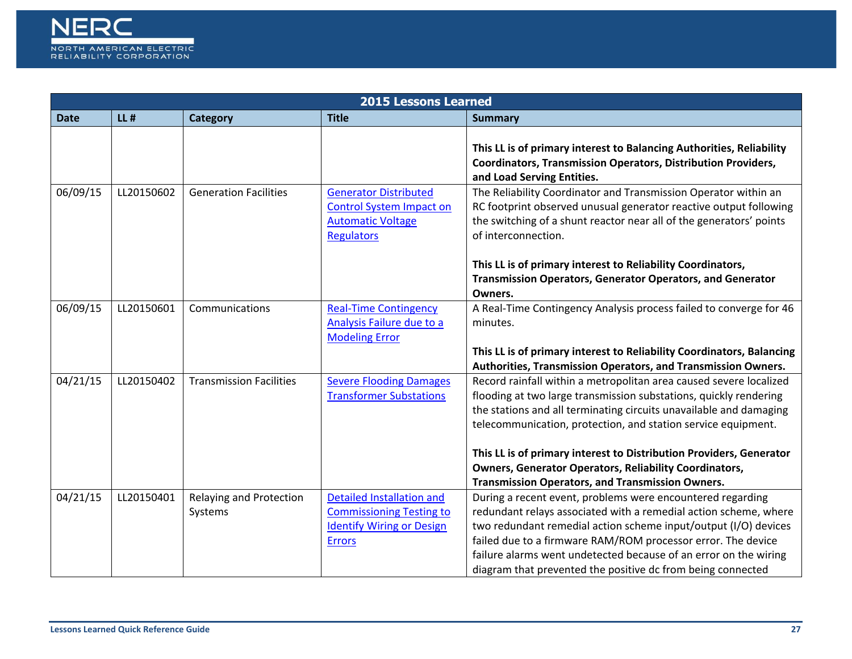

|             | 2015 Lessons Learned |                                    |                                                                                                                          |                                                                                                                                                                                                                                                                                                                                                                                                      |  |  |
|-------------|----------------------|------------------------------------|--------------------------------------------------------------------------------------------------------------------------|------------------------------------------------------------------------------------------------------------------------------------------------------------------------------------------------------------------------------------------------------------------------------------------------------------------------------------------------------------------------------------------------------|--|--|
| <b>Date</b> | $LL$ #               | <b>Category</b>                    | <b>Title</b>                                                                                                             | <b>Summary</b>                                                                                                                                                                                                                                                                                                                                                                                       |  |  |
|             |                      |                                    |                                                                                                                          | This LL is of primary interest to Balancing Authorities, Reliability<br><b>Coordinators, Transmission Operators, Distribution Providers,</b><br>and Load Serving Entities.                                                                                                                                                                                                                           |  |  |
| 06/09/15    | LL20150602           | <b>Generation Facilities</b>       | <b>Generator Distributed</b><br><b>Control System Impact on</b><br><b>Automatic Voltage</b><br><b>Regulators</b>         | The Reliability Coordinator and Transmission Operator within an<br>RC footprint observed unusual generator reactive output following<br>the switching of a shunt reactor near all of the generators' points<br>of interconnection.                                                                                                                                                                   |  |  |
|             |                      |                                    |                                                                                                                          | This LL is of primary interest to Reliability Coordinators,<br>Transmission Operators, Generator Operators, and Generator<br>Owners.                                                                                                                                                                                                                                                                 |  |  |
| 06/09/15    | LL20150601           | Communications                     | <b>Real-Time Contingency</b><br>Analysis Failure due to a<br><b>Modeling Error</b>                                       | A Real-Time Contingency Analysis process failed to converge for 46<br>minutes.                                                                                                                                                                                                                                                                                                                       |  |  |
|             |                      |                                    |                                                                                                                          | This LL is of primary interest to Reliability Coordinators, Balancing<br>Authorities, Transmission Operators, and Transmission Owners.                                                                                                                                                                                                                                                               |  |  |
| 04/21/15    | LL20150402           | <b>Transmission Facilities</b>     | <b>Severe Flooding Damages</b><br><b>Transformer Substations</b>                                                         | Record rainfall within a metropolitan area caused severe localized<br>flooding at two large transmission substations, quickly rendering<br>the stations and all terminating circuits unavailable and damaging<br>telecommunication, protection, and station service equipment.                                                                                                                       |  |  |
|             |                      |                                    |                                                                                                                          | This LL is of primary interest to Distribution Providers, Generator<br><b>Owners, Generator Operators, Reliability Coordinators,</b><br><b>Transmission Operators, and Transmission Owners.</b>                                                                                                                                                                                                      |  |  |
| 04/21/15    | LL20150401           | Relaying and Protection<br>Systems | <b>Detailed Installation and</b><br><b>Commissioning Testing to</b><br><b>Identify Wiring or Design</b><br><b>Errors</b> | During a recent event, problems were encountered regarding<br>redundant relays associated with a remedial action scheme, where<br>two redundant remedial action scheme input/output (I/O) devices<br>failed due to a firmware RAM/ROM processor error. The device<br>failure alarms went undetected because of an error on the wiring<br>diagram that prevented the positive dc from being connected |  |  |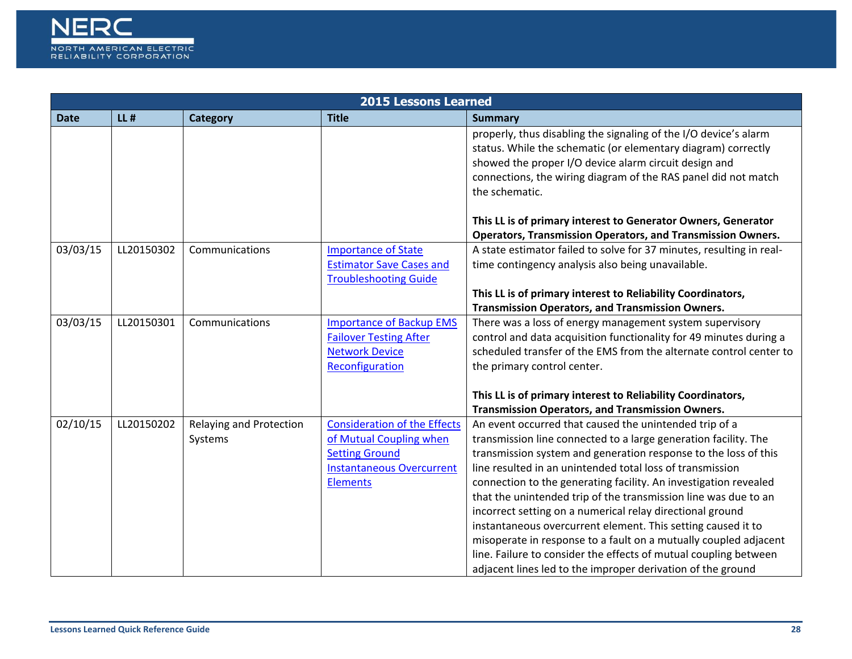

|             | <b>2015 Lessons Learned</b> |                                |                                     |                                                                                                                                                                                                                                                                                |  |
|-------------|-----------------------------|--------------------------------|-------------------------------------|--------------------------------------------------------------------------------------------------------------------------------------------------------------------------------------------------------------------------------------------------------------------------------|--|
| <b>Date</b> | $LL$ #                      | <b>Category</b>                | <b>Title</b>                        | <b>Summary</b>                                                                                                                                                                                                                                                                 |  |
|             |                             |                                |                                     | properly, thus disabling the signaling of the I/O device's alarm<br>status. While the schematic (or elementary diagram) correctly<br>showed the proper I/O device alarm circuit design and<br>connections, the wiring diagram of the RAS panel did not match<br>the schematic. |  |
|             |                             |                                |                                     | This LL is of primary interest to Generator Owners, Generator                                                                                                                                                                                                                  |  |
|             |                             |                                |                                     | <b>Operators, Transmission Operators, and Transmission Owners.</b>                                                                                                                                                                                                             |  |
| 03/03/15    | LL20150302                  | Communications                 | <b>Importance of State</b>          | A state estimator failed to solve for 37 minutes, resulting in real-                                                                                                                                                                                                           |  |
|             |                             |                                | <b>Estimator Save Cases and</b>     | time contingency analysis also being unavailable.                                                                                                                                                                                                                              |  |
|             |                             |                                | <b>Troubleshooting Guide</b>        |                                                                                                                                                                                                                                                                                |  |
|             |                             |                                |                                     | This LL is of primary interest to Reliability Coordinators,<br><b>Transmission Operators, and Transmission Owners.</b>                                                                                                                                                         |  |
| 03/03/15    | LL20150301                  | Communications                 | <b>Importance of Backup EMS</b>     | There was a loss of energy management system supervisory                                                                                                                                                                                                                       |  |
|             |                             |                                | <b>Failover Testing After</b>       | control and data acquisition functionality for 49 minutes during a                                                                                                                                                                                                             |  |
|             |                             |                                | <b>Network Device</b>               | scheduled transfer of the EMS from the alternate control center to                                                                                                                                                                                                             |  |
|             |                             |                                | Reconfiguration                     | the primary control center.                                                                                                                                                                                                                                                    |  |
|             |                             |                                |                                     |                                                                                                                                                                                                                                                                                |  |
|             |                             |                                |                                     | This LL is of primary interest to Reliability Coordinators,                                                                                                                                                                                                                    |  |
|             |                             |                                |                                     | <b>Transmission Operators, and Transmission Owners.</b>                                                                                                                                                                                                                        |  |
| 02/10/15    | LL20150202                  | <b>Relaying and Protection</b> | <b>Consideration of the Effects</b> | An event occurred that caused the unintended trip of a                                                                                                                                                                                                                         |  |
|             |                             | Systems                        | of Mutual Coupling when             | transmission line connected to a large generation facility. The                                                                                                                                                                                                                |  |
|             |                             |                                | <b>Setting Ground</b>               | transmission system and generation response to the loss of this                                                                                                                                                                                                                |  |
|             |                             |                                | <b>Instantaneous Overcurrent</b>    | line resulted in an unintended total loss of transmission                                                                                                                                                                                                                      |  |
|             |                             |                                | <b>Elements</b>                     | connection to the generating facility. An investigation revealed                                                                                                                                                                                                               |  |
|             |                             |                                |                                     | that the unintended trip of the transmission line was due to an                                                                                                                                                                                                                |  |
|             |                             |                                |                                     | incorrect setting on a numerical relay directional ground<br>instantaneous overcurrent element. This setting caused it to                                                                                                                                                      |  |
|             |                             |                                |                                     | misoperate in response to a fault on a mutually coupled adjacent                                                                                                                                                                                                               |  |
|             |                             |                                |                                     | line. Failure to consider the effects of mutual coupling between                                                                                                                                                                                                               |  |
|             |                             |                                |                                     | adjacent lines led to the improper derivation of the ground                                                                                                                                                                                                                    |  |